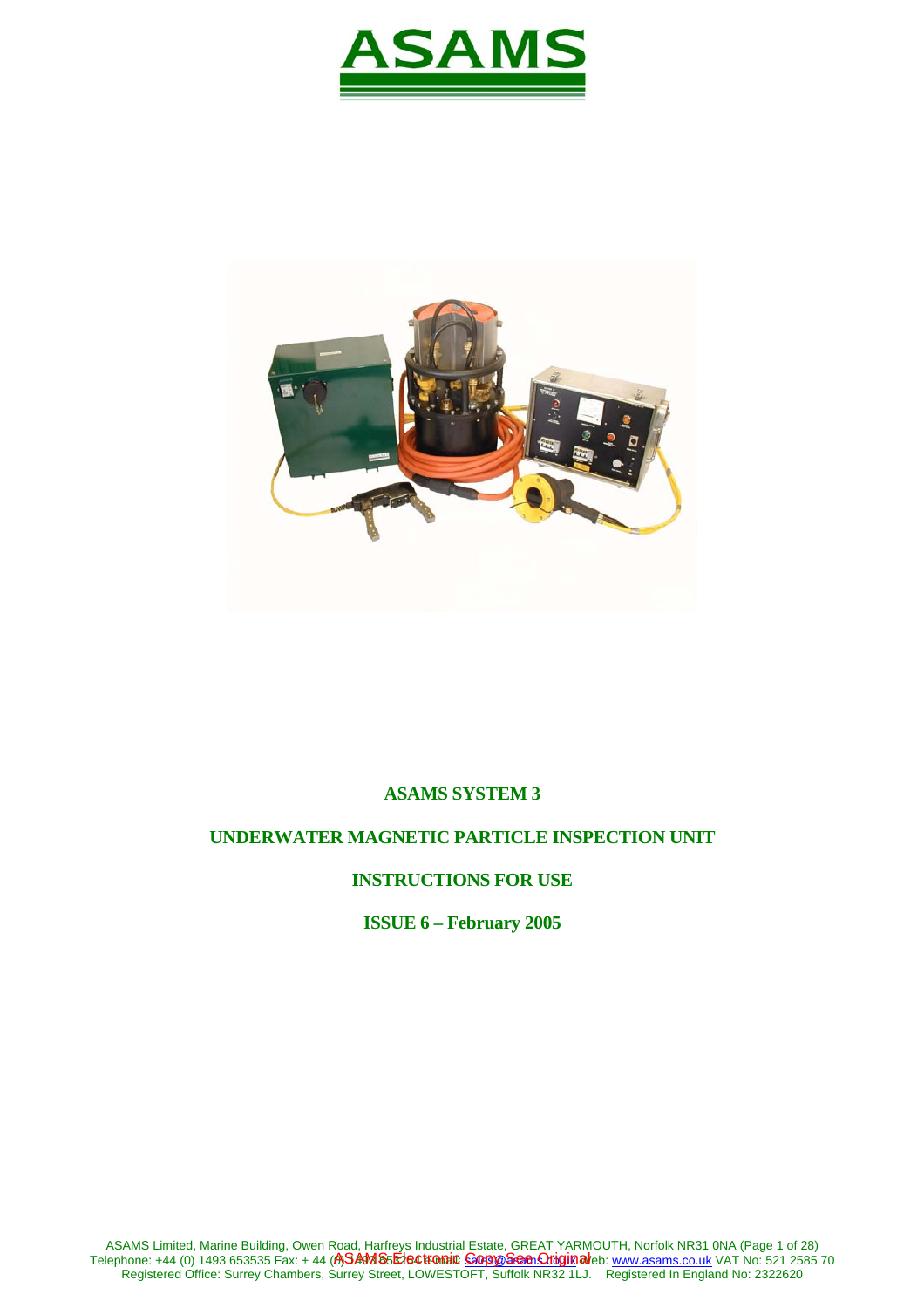



## **ASAMS SYSTEM 3**

## **UNDERWATER MAGNETIC PARTICLE INSPECTION UNIT**

# **INSTRUCTIONS FOR USE**

**ISSUE 6 – February 2005**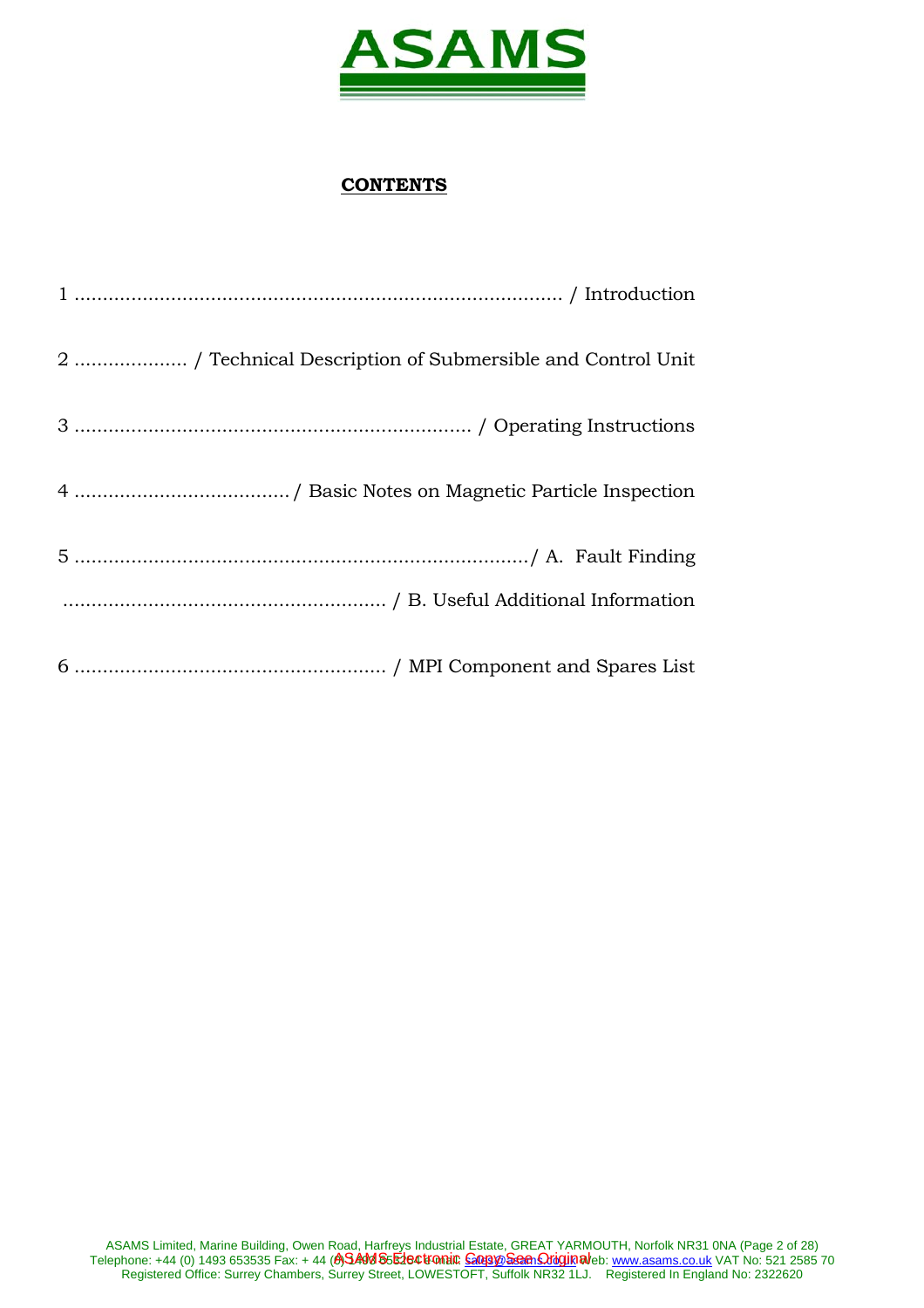

# **CONTENTS**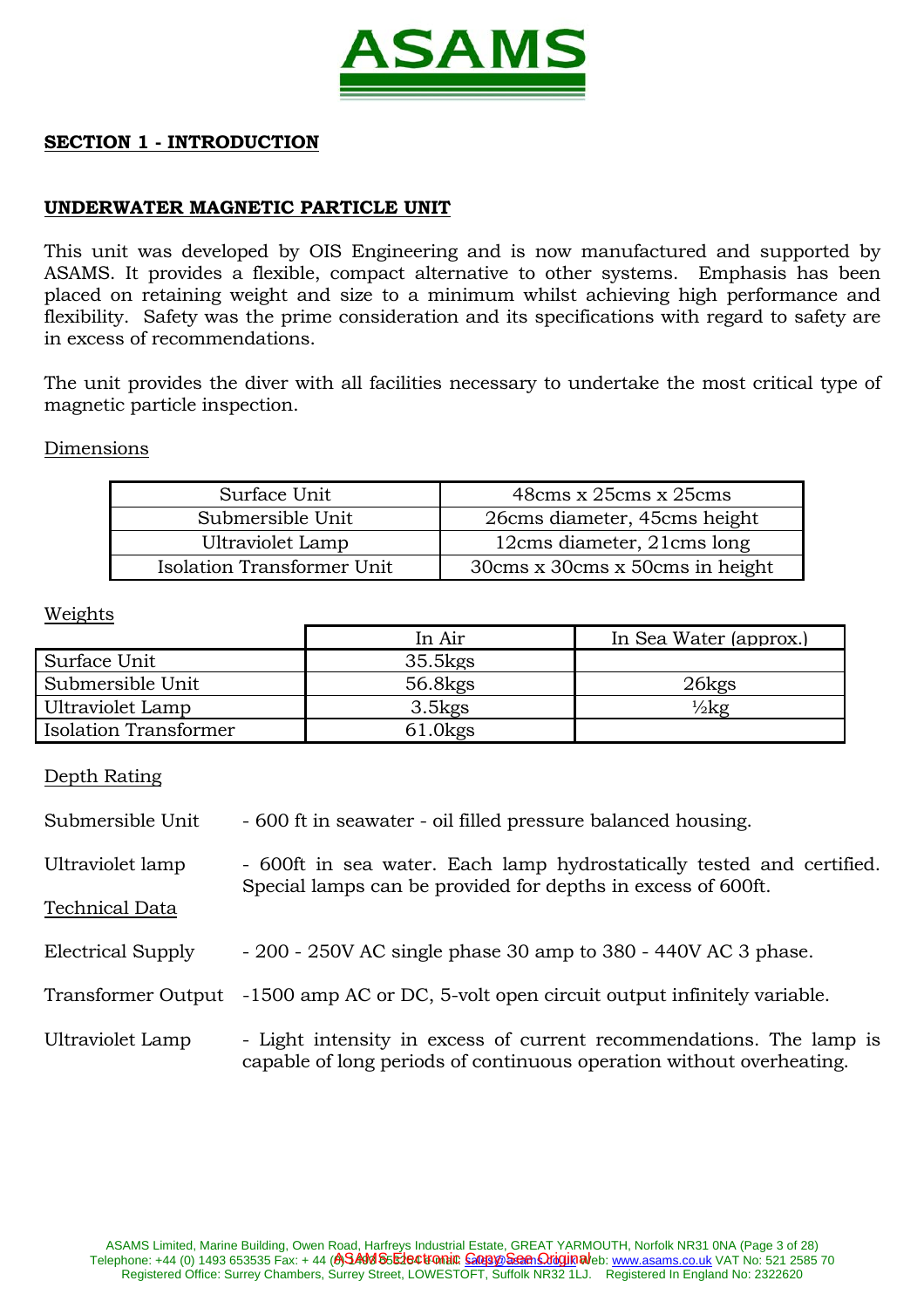

## **SECTION 1 - INTRODUCTION**

## **UNDERWATER MAGNETIC PARTICLE UNIT**

This unit was developed by OIS Engineering and is now manufactured and supported by ASAMS. It provides a flexible, compact alternative to other systems. Emphasis has been placed on retaining weight and size to a minimum whilst achieving high performance and flexibility. Safety was the prime consideration and its specifications with regard to safety are in excess of recommendations.

The unit provides the diver with all facilities necessary to undertake the most critical type of magnetic particle inspection.

#### Dimensions

| Surface Unit               | 48cms x 25cms x 25cms              |
|----------------------------|------------------------------------|
| Submersible Unit           | 26 cms diameter, 45 cms height     |
| Ultraviolet Lamp           | 12cms diameter, 21cms long         |
| Isolation Transformer Unit | 30 cms x 30 cms x 50 cms in height |

#### Weights

|                              | In Air              | In Sea Water (approx.) |
|------------------------------|---------------------|------------------------|
| Surface Unit                 | $35.5$ $kgS$        |                        |
| Submersible Unit             | 56.8 <sub>kgs</sub> | 26kgs                  |
| Ultraviolet Lamp             | $3.5$ kgs           | $\frac{1}{2}$ kg       |
| <b>Isolation Transformer</b> | $61.0$ kgs          |                        |

#### Depth Rating

| Submersible Unit  | - 600 ft in seawater - oil filled pressure balanced housing.                                                                          |
|-------------------|---------------------------------------------------------------------------------------------------------------------------------------|
| Ultraviolet lamp  | - 600ft in sea water. Each lamp hydrostatically tested and certified.<br>Special lamps can be provided for depths in excess of 600ft. |
| Technical Data    |                                                                                                                                       |
| Electrical Supply | $-200 - 250V$ AC single phase 30 amp to 380 - 440V AC 3 phase.                                                                        |
|                   | Transformer Output -1500 amp AC or DC, 5-volt open circuit output infinitely variable.                                                |

Ultraviolet Lamp - Light intensity in excess of current recommendations. The lamp is capable of long periods of continuous operation without overheating.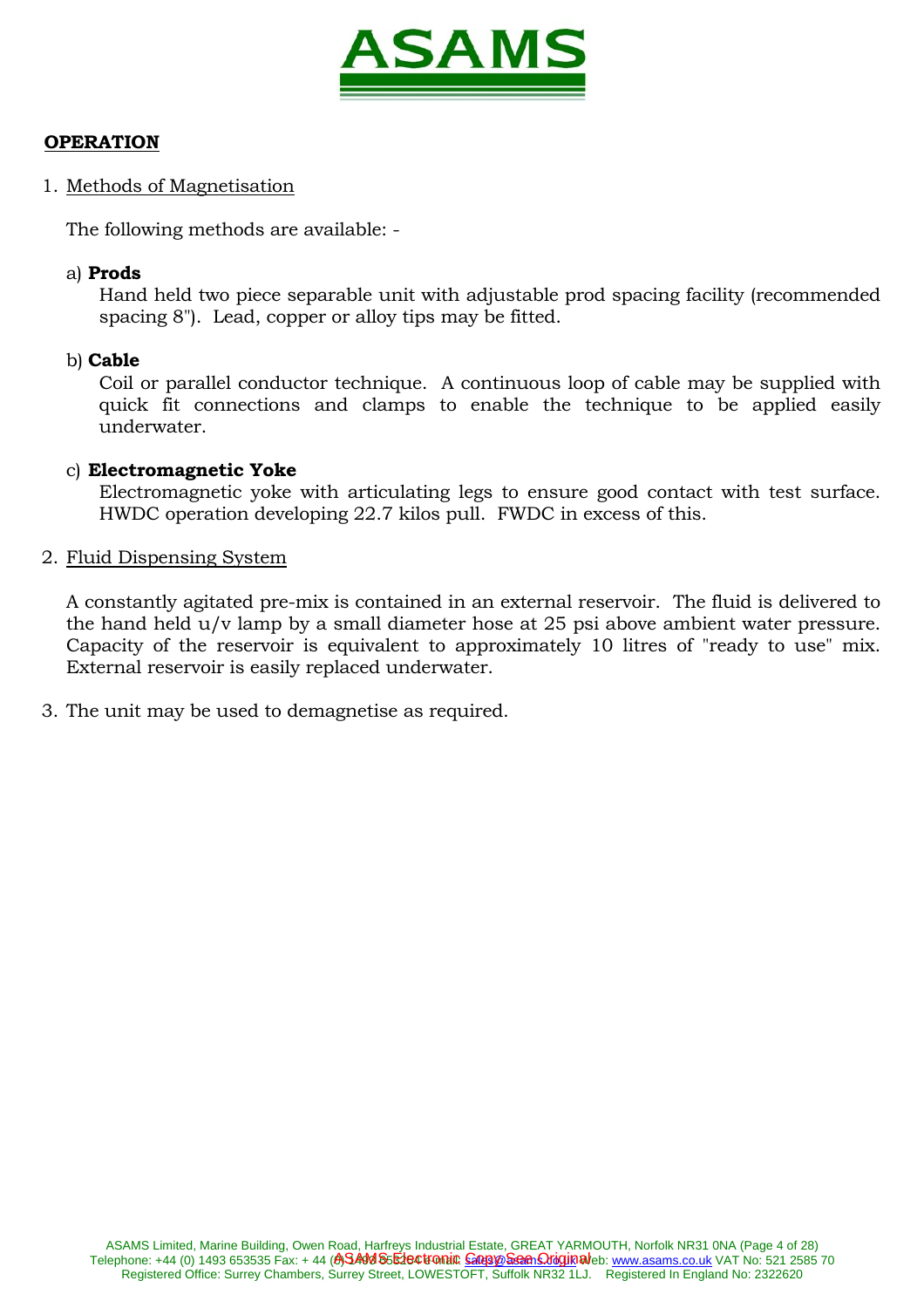

# **OPERATION**

1. Methods of Magnetisation

The following methods are available: -

## a) **Prods**

 Hand held two piece separable unit with adjustable prod spacing facility (recommended spacing 8"). Lead, copper or alloy tips may be fitted.

# b) **Cable**

 Coil or parallel conductor technique. A continuous loop of cable may be supplied with quick fit connections and clamps to enable the technique to be applied easily underwater.

# c) **Electromagnetic Yoke**

 Electromagnetic yoke with articulating legs to ensure good contact with test surface. HWDC operation developing 22.7 kilos pull. FWDC in excess of this.

## 2. Fluid Dispensing System

 A constantly agitated pre-mix is contained in an external reservoir. The fluid is delivered to the hand held u/v lamp by a small diameter hose at 25 psi above ambient water pressure. Capacity of the reservoir is equivalent to approximately 10 litres of "ready to use" mix. External reservoir is easily replaced underwater.

3. The unit may be used to demagnetise as required.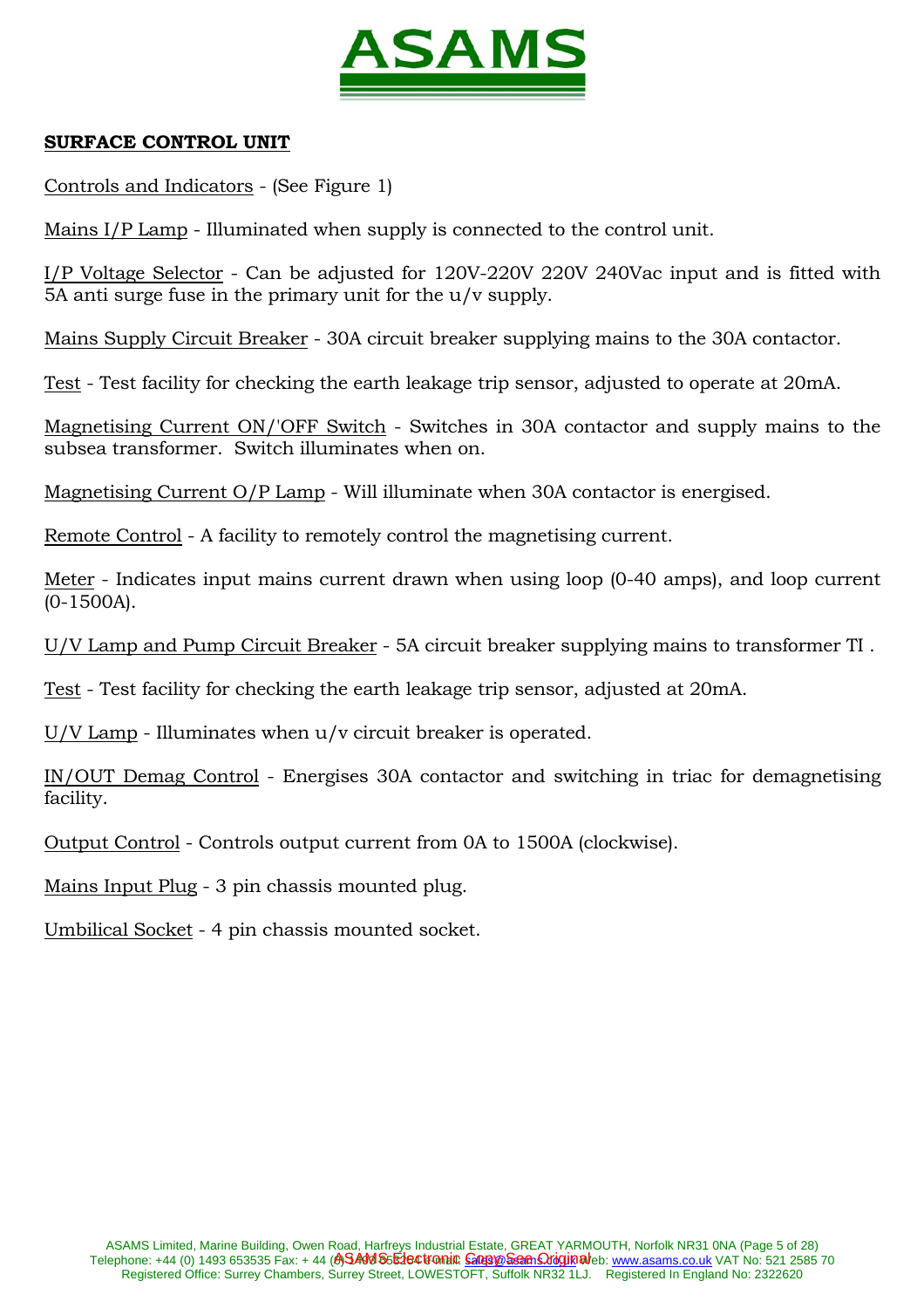

## **SURFACE CONTROL UNIT**

Controls and Indicators - (See Figure 1)

Mains I/P Lamp - Illuminated when supply is connected to the control unit.

I/P Voltage Selector - Can be adjusted for 120V-220V 220V 240Vac input and is fitted with 5A anti surge fuse in the primary unit for the u/v supply.

Mains Supply Circuit Breaker - 30A circuit breaker supplying mains to the 30A contactor.

Test - Test facility for checking the earth leakage trip sensor, adjusted to operate at 20mA.

Magnetising Current ON/'OFF Switch - Switches in 30A contactor and supply mains to the subsea transformer. Switch illuminates when on.

Magnetising Current O/P Lamp - Will illuminate when 30A contactor is energised.

Remote Control - A facility to remotely control the magnetising current.

Meter - Indicates input mains current drawn when using loop (0-40 amps), and loop current (0-1500A).

U/V Lamp and Pump Circuit Breaker - 5A circuit breaker supplying mains to transformer TI .

Test - Test facility for checking the earth leakage trip sensor, adjusted at 20mA.

U/V Lamp - Illuminates when u/v circuit breaker is operated.

IN/OUT Demag Control - Energises 30A contactor and switching in triac for demagnetising facility.

Output Control - Controls output current from 0A to 1500A (clockwise).

Mains Input Plug - 3 pin chassis mounted plug.

Umbilical Socket - 4 pin chassis mounted socket.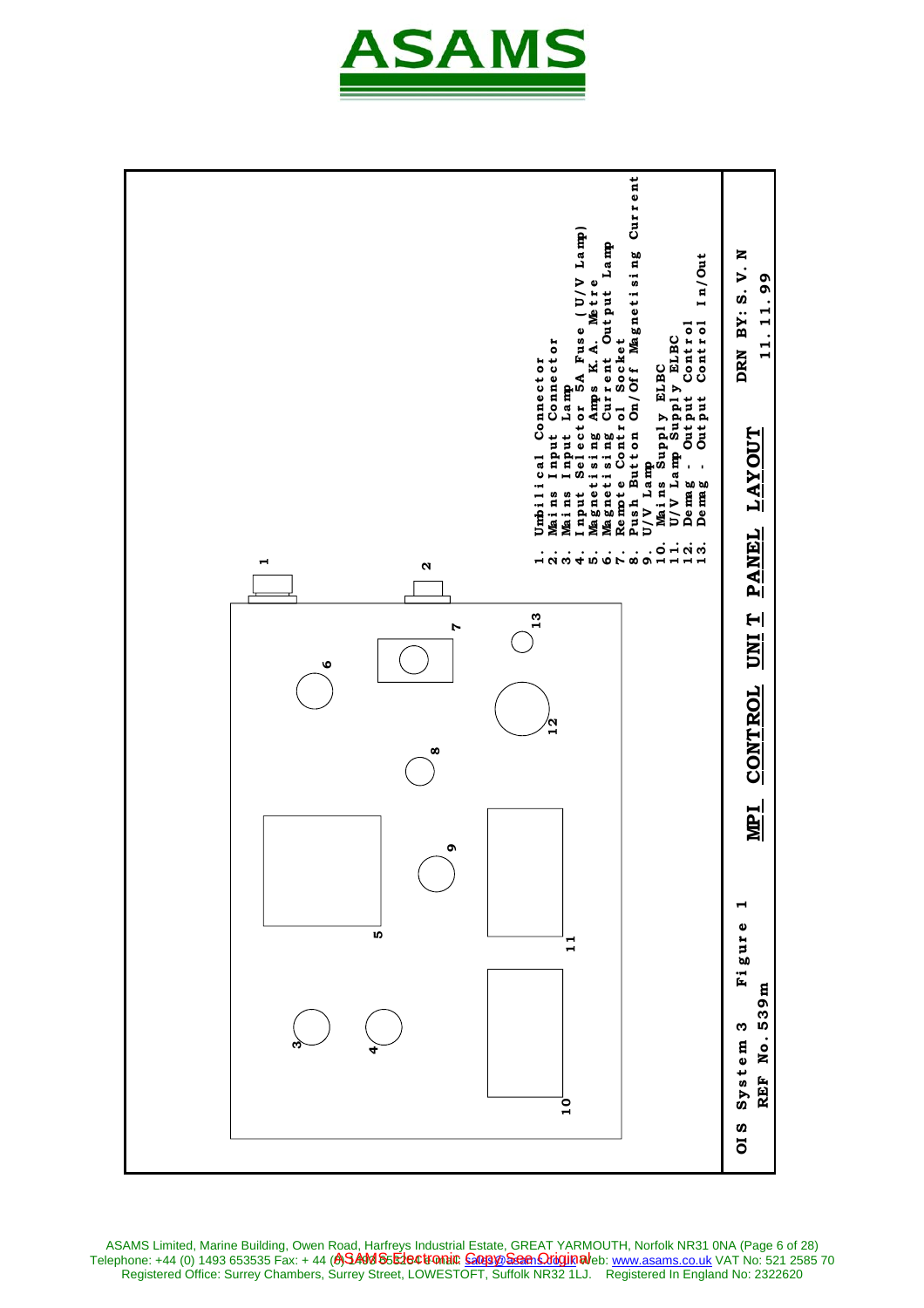



ASAMS Limited, Marine Building, Owen Road, Harfreys Industrial Estate, GREAT YARMOUTH, Norfolk NR31 0NA (Page 6 of 28) Telephone: +44 (0) 1493 653535 Fax: + 44 (**A)SAM S5E1ectronic <u>Copy® Seen Origin</u>al**eb: <u>www.asams.co.uk</u> VAT No: 521 2585 70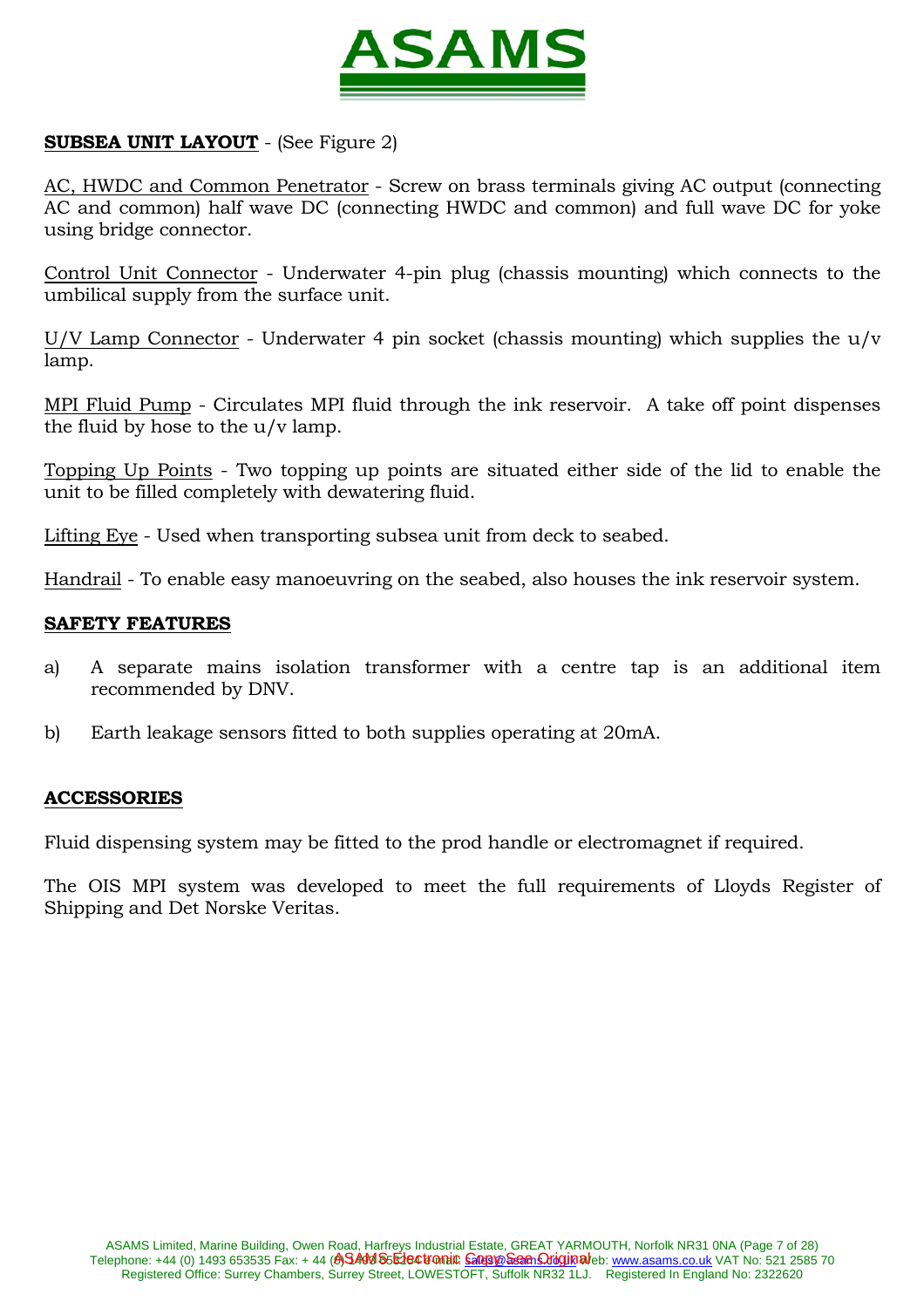

# **SUBSEA UNIT LAYOUT** - (See Figure 2)

AC, HWDC and Common Penetrator - Screw on brass terminals giving AC output (connecting AC and common) half wave DC (connecting HWDC and common) and full wave DC for yoke using bridge connector.

Control Unit Connector - Underwater 4-pin plug (chassis mounting) which connects to the umbilical supply from the surface unit.

U/V Lamp Connector - Underwater 4 pin socket (chassis mounting) which supplies the u/v lamp.

MPI Fluid Pump - Circulates MPI fluid through the ink reservoir. A take off point dispenses the fluid by hose to the  $u/v$  lamp.

Topping Up Points - Two topping up points are situated either side of the lid to enable the unit to be filled completely with dewatering fluid.

Lifting Eye - Used when transporting subsea unit from deck to seabed.

Handrail - To enable easy manoeuvring on the seabed, also houses the ink reservoir system.

#### **SAFETY FEATURES**

- a) A separate mains isolation transformer with a centre tap is an additional item recommended by DNV.
- b) Earth leakage sensors fitted to both supplies operating at 20mA.

#### **ACCESSORIES**

Fluid dispensing system may be fitted to the prod handle or electromagnet if required.

The OIS MPI system was developed to meet the full requirements of Lloyds Register of Shipping and Det Norske Veritas.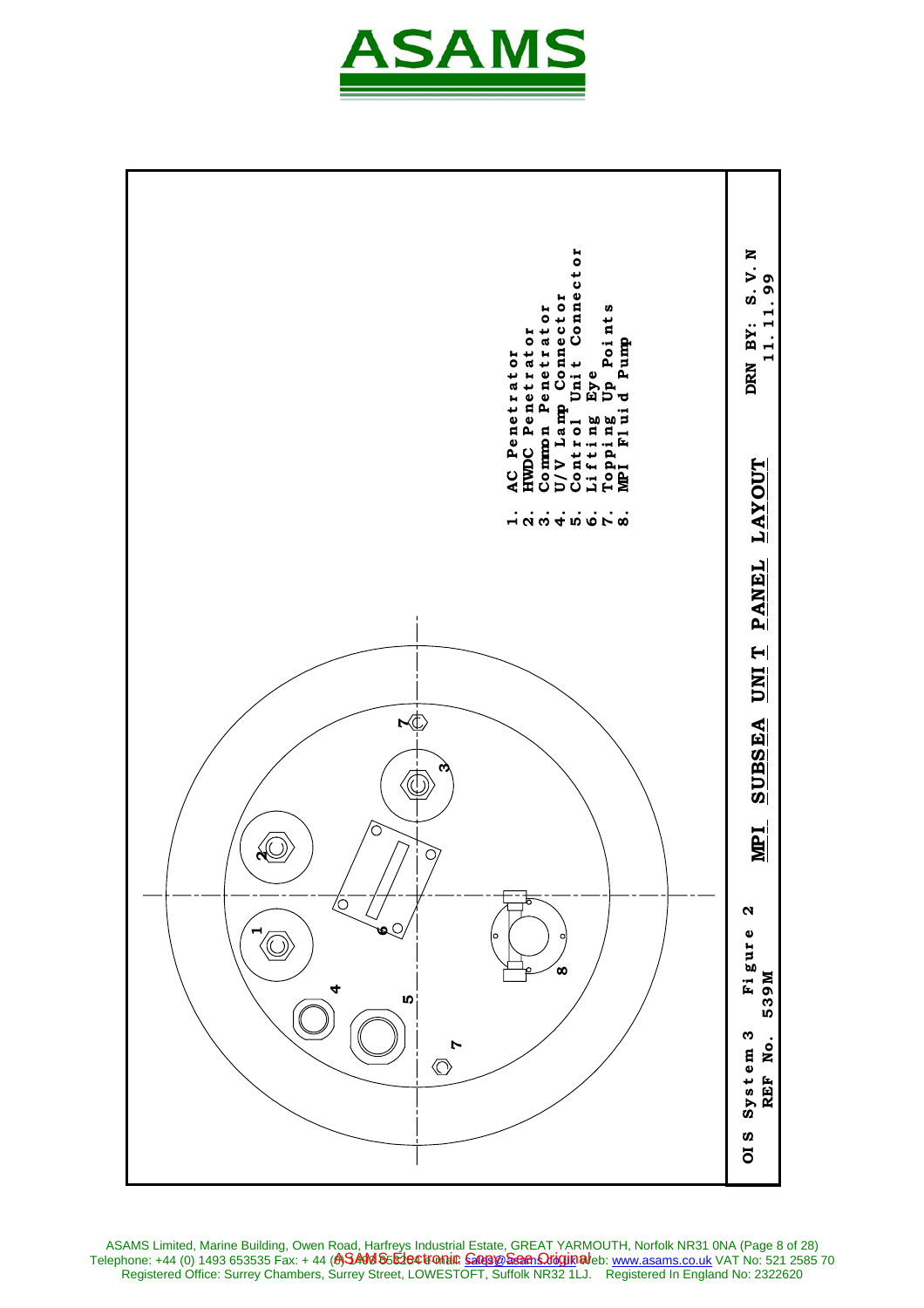



ASAMS Limited, Marine Building, Owen Road, Harfreys Industrial Estate, GREAT YARMOUTH, Norfolk NR31 0NA (Page 8 of 28) Telephone: +44 (0) 1493 653535 Fax: + 44 **(A)SAM S5E1e©tromi© <u>Goopye Seen Oriquin</u> al**eb: <u>www.asams.co.uk</u> VAT No: 521 2585 70 ASAMS Electronic <u>Copy See Origin</u>al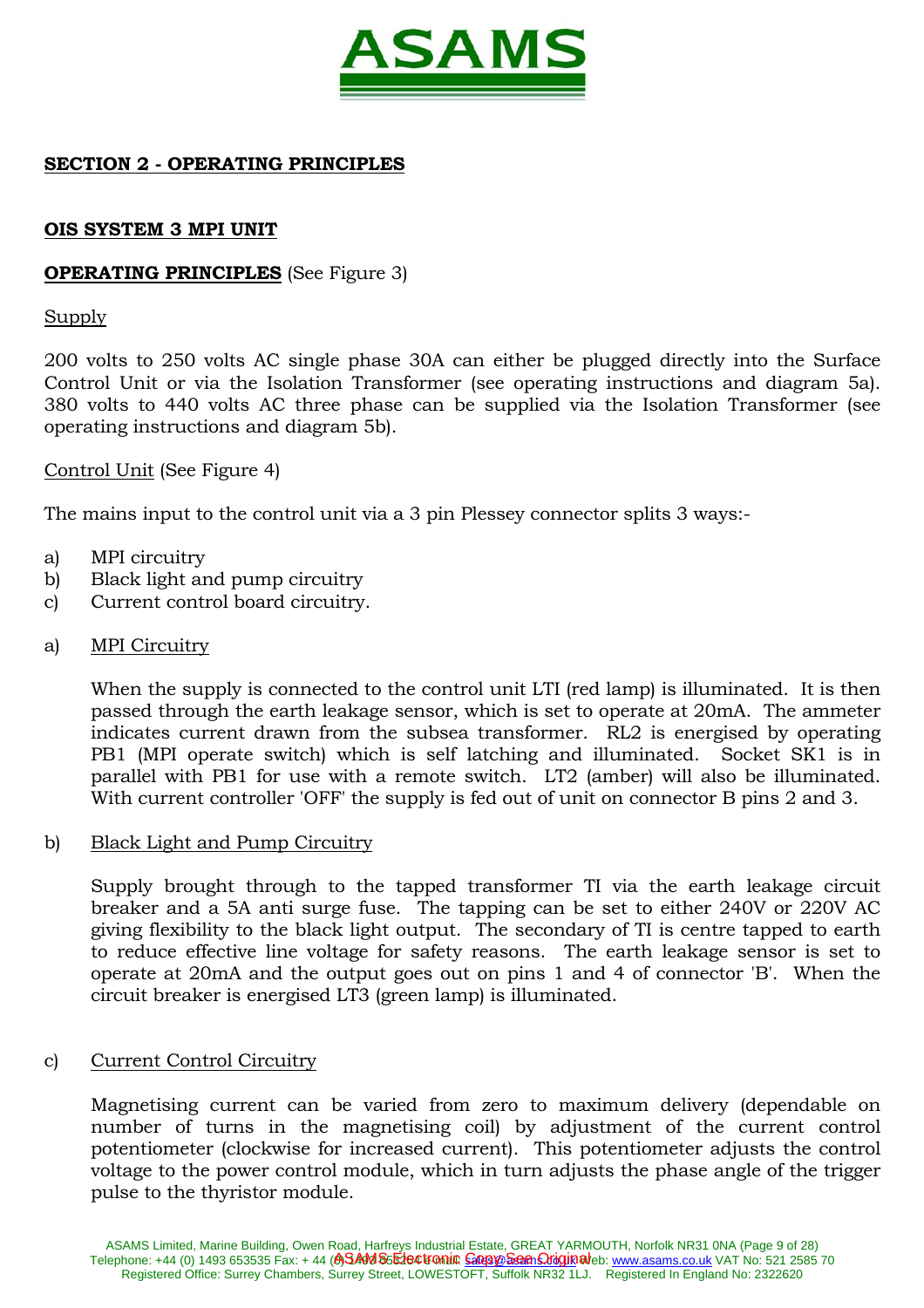

## **SECTION 2 - OPERATING PRINCIPLES**

### **OIS SYSTEM 3 MPI UNIT**

## **OPERATING PRINCIPLES** (See Figure 3)

### Supply

200 volts to 250 volts AC single phase 30A can either be plugged directly into the Surface Control Unit or via the Isolation Transformer (see operating instructions and diagram 5a). 380 volts to 440 volts AC three phase can be supplied via the Isolation Transformer (see operating instructions and diagram 5b).

## Control Unit (See Figure 4)

The mains input to the control unit via a 3 pin Plessey connector splits 3 ways:-

- a) MPI circuitry
- b) Black light and pump circuitry
- c) Current control board circuitry.
- a) MPI Circuitry

 When the supply is connected to the control unit LTI (red lamp) is illuminated. It is then passed through the earth leakage sensor, which is set to operate at 20mA. The ammeter indicates current drawn from the subsea transformer. RL2 is energised by operating PB1 (MPI operate switch) which is self latching and illuminated. Socket SK1 is in parallel with PB1 for use with a remote switch. LT2 (amber) will also be illuminated. With current controller 'OFF' the supply is fed out of unit on connector B pins 2 and 3.

#### b) Black Light and Pump Circuitry

 Supply brought through to the tapped transformer TI via the earth leakage circuit breaker and a 5A anti surge fuse. The tapping can be set to either 240V or 220V AC giving flexibility to the black light output. The secondary of TI is centre tapped to earth to reduce effective line voltage for safety reasons. The earth leakage sensor is set to operate at 20mA and the output goes out on pins 1 and 4 of connector 'B'. When the circuit breaker is energised LT3 (green lamp) is illuminated.

#### c) Current Control Circuitry

 Magnetising current can be varied from zero to maximum delivery (dependable on number of turns in the magnetising coil) by adjustment of the current control potentiometer (clockwise for increased current). This potentiometer adjusts the control voltage to the power control module, which in turn adjusts the phase angle of the trigger pulse to the thyristor module.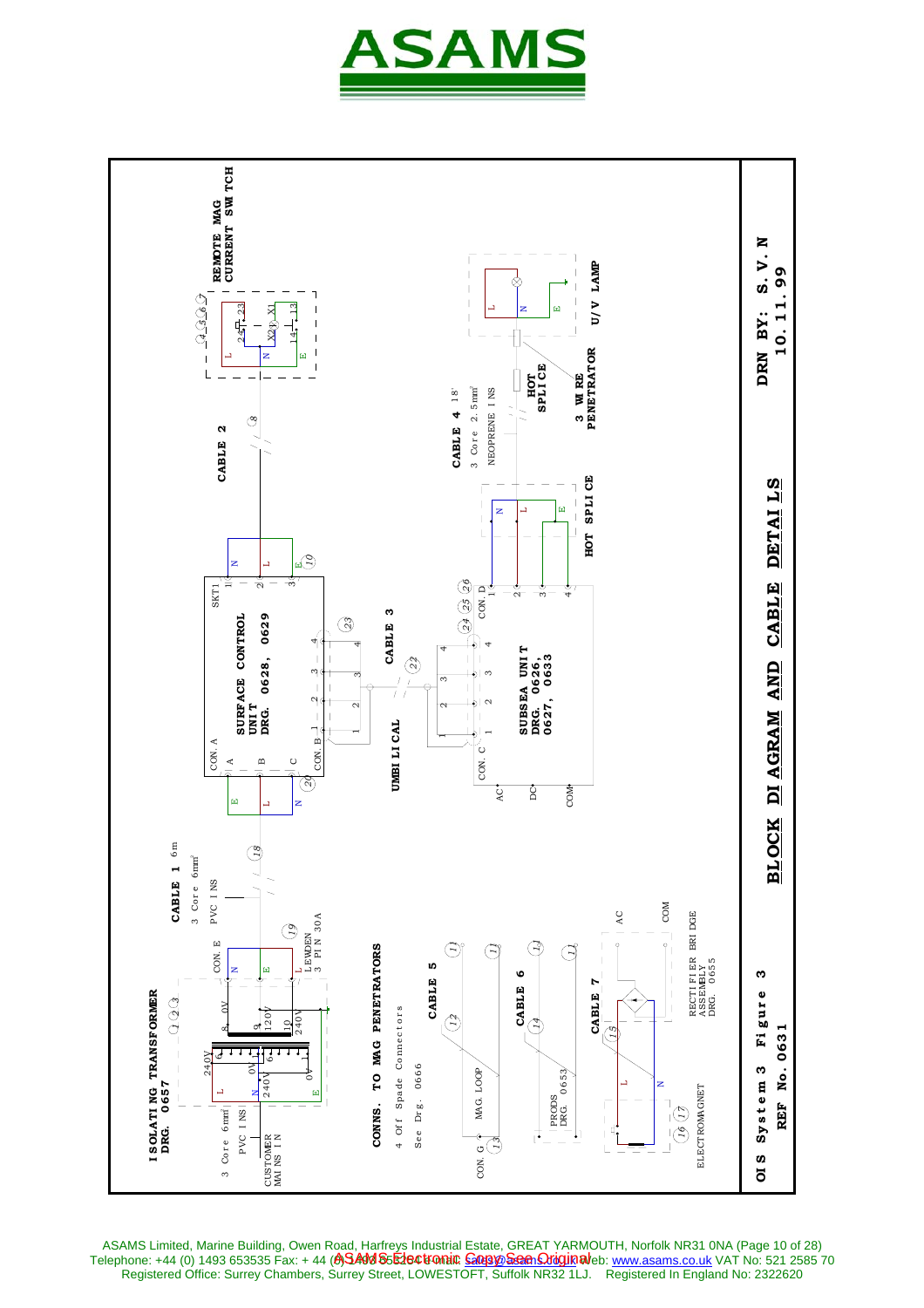



ASAMS Limited, Marine Building, Owen Road, Harfreys Industrial Estate, GREAT YARMOUTH, Norfolk NR31 0NA (Page 10 of 28) Telephone: +44 (0) 1493 653535 Fax: + 44 **(A)SAM S5E1e©tromi© <u>Goopye Seen Oriquin</u> al**leb: <u>www.asams.co.uk</u> VAT No: 521 2585 70 ASAMS Electronic <u>Copy See Origin</u>al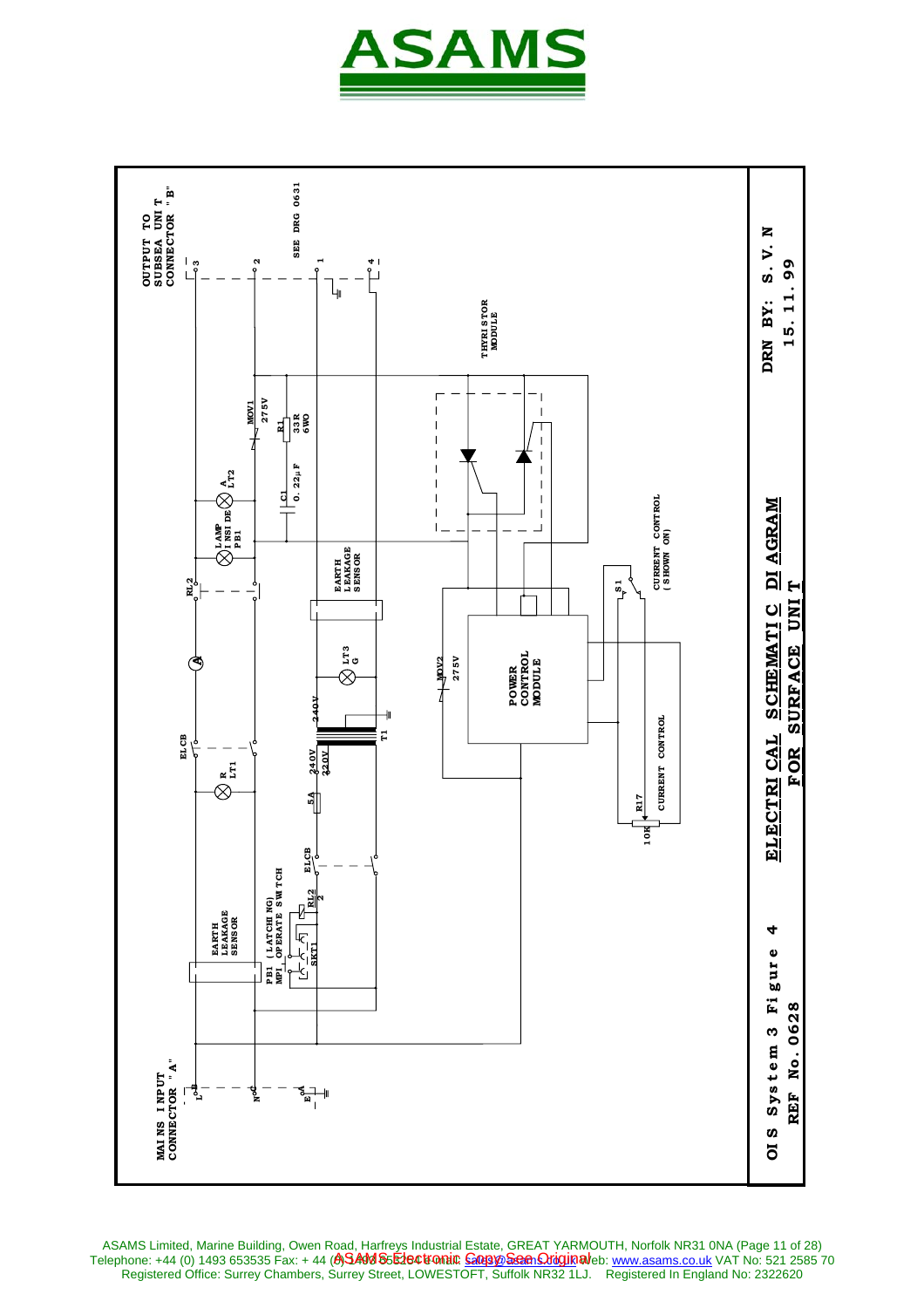



ASAMS Limited, Marine Building, Owen Road, Harfreys Industrial Estate, GREAT YARMOUTH, Norfolk NR31 0NA (Page 11 of 28) Telephone: +44 (0) 1493 653535 Fax: + 44 **(A)SAM S5E1e©tromi© <u>Goopye Seen Oriquin</u> al**leb: <u>www.asams.co.uk</u> VAT No: 521 2585 70 Registered Office: Surrey Chambers, Surrey Street, LOWESTOFT, Suffolk NR32 1LJ. Registered In England No: 2322620 ASAMS Electronic <u>Copy See Origin</u>al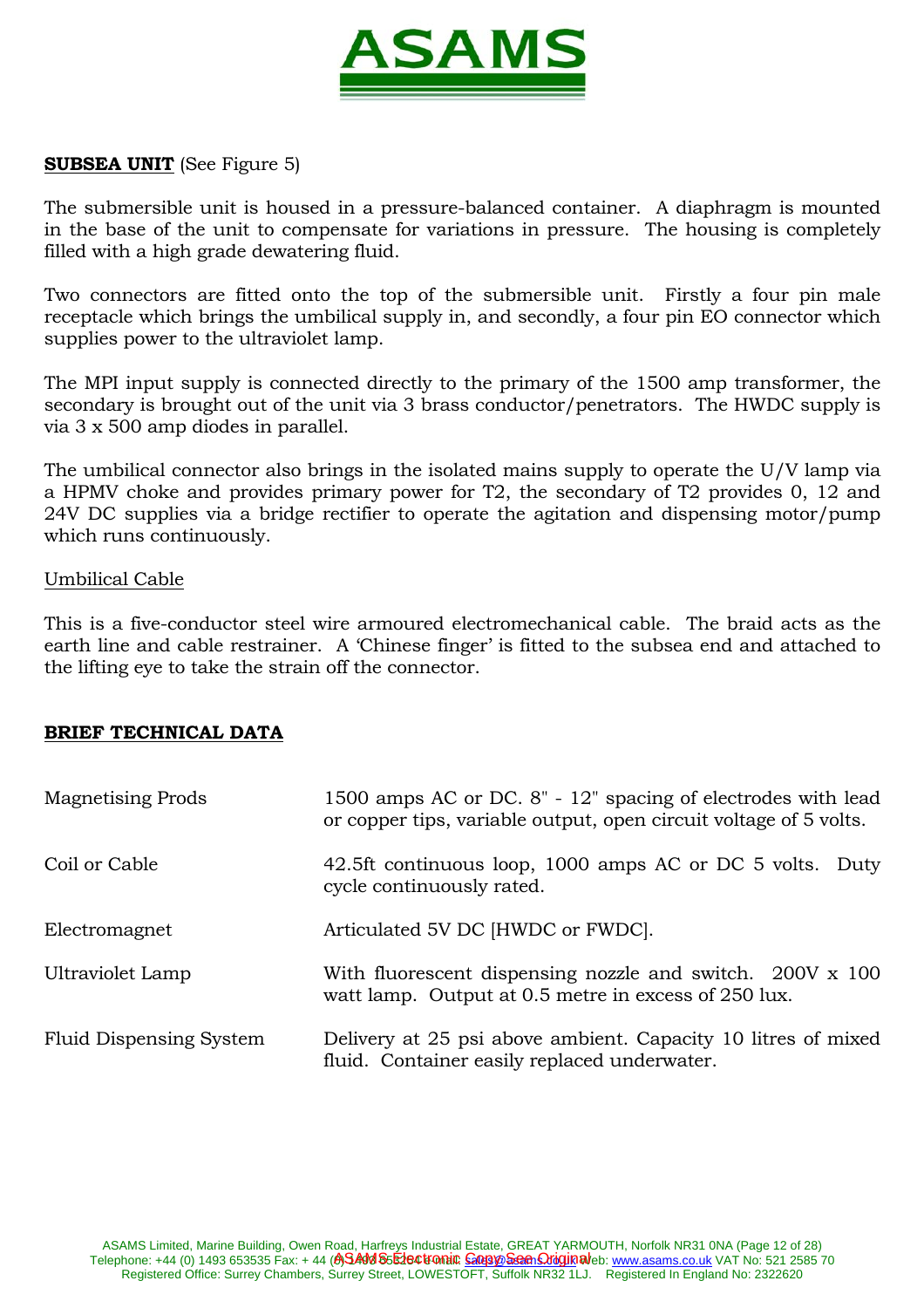

## **SUBSEA UNIT** (See Figure 5)

The submersible unit is housed in a pressure-balanced container. A diaphragm is mounted in the base of the unit to compensate for variations in pressure. The housing is completely filled with a high grade dewatering fluid.

Two connectors are fitted onto the top of the submersible unit. Firstly a four pin male receptacle which brings the umbilical supply in, and secondly, a four pin EO connector which supplies power to the ultraviolet lamp.

The MPI input supply is connected directly to the primary of the 1500 amp transformer, the secondary is brought out of the unit via 3 brass conductor/penetrators. The HWDC supply is via 3 x 500 amp diodes in parallel.

The umbilical connector also brings in the isolated mains supply to operate the U/V lamp via a HPMV choke and provides primary power for T2, the secondary of T2 provides 0, 12 and 24V DC supplies via a bridge rectifier to operate the agitation and dispensing motor/pump which runs continuously.

#### Umbilical Cable

This is a five-conductor steel wire armoured electromechanical cable. The braid acts as the earth line and cable restrainer. A 'Chinese finger' is fitted to the subsea end and attached to the lifting eye to take the strain off the connector.

## **BRIEF TECHNICAL DATA**

| <b>Magnetising Prods</b>       | 1500 amps AC or DC. 8" - 12" spacing of electrodes with lead<br>or copper tips, variable output, open circuit voltage of 5 volts. |
|--------------------------------|-----------------------------------------------------------------------------------------------------------------------------------|
| Coil or Cable                  | 42.5ft continuous loop, 1000 amps AC or DC 5 volts. Duty<br>cycle continuously rated.                                             |
| Electromagnet                  | Articulated 5V DC [HWDC or FWDC].                                                                                                 |
| Ultraviolet Lamp               | With fluorescent dispensing nozzle and switch. 200V x 100<br>watt lamp. Output at 0.5 metre in excess of 250 lux.                 |
| <b>Fluid Dispensing System</b> | Delivery at 25 psi above ambient. Capacity 10 litres of mixed<br>fluid. Container easily replaced underwater.                     |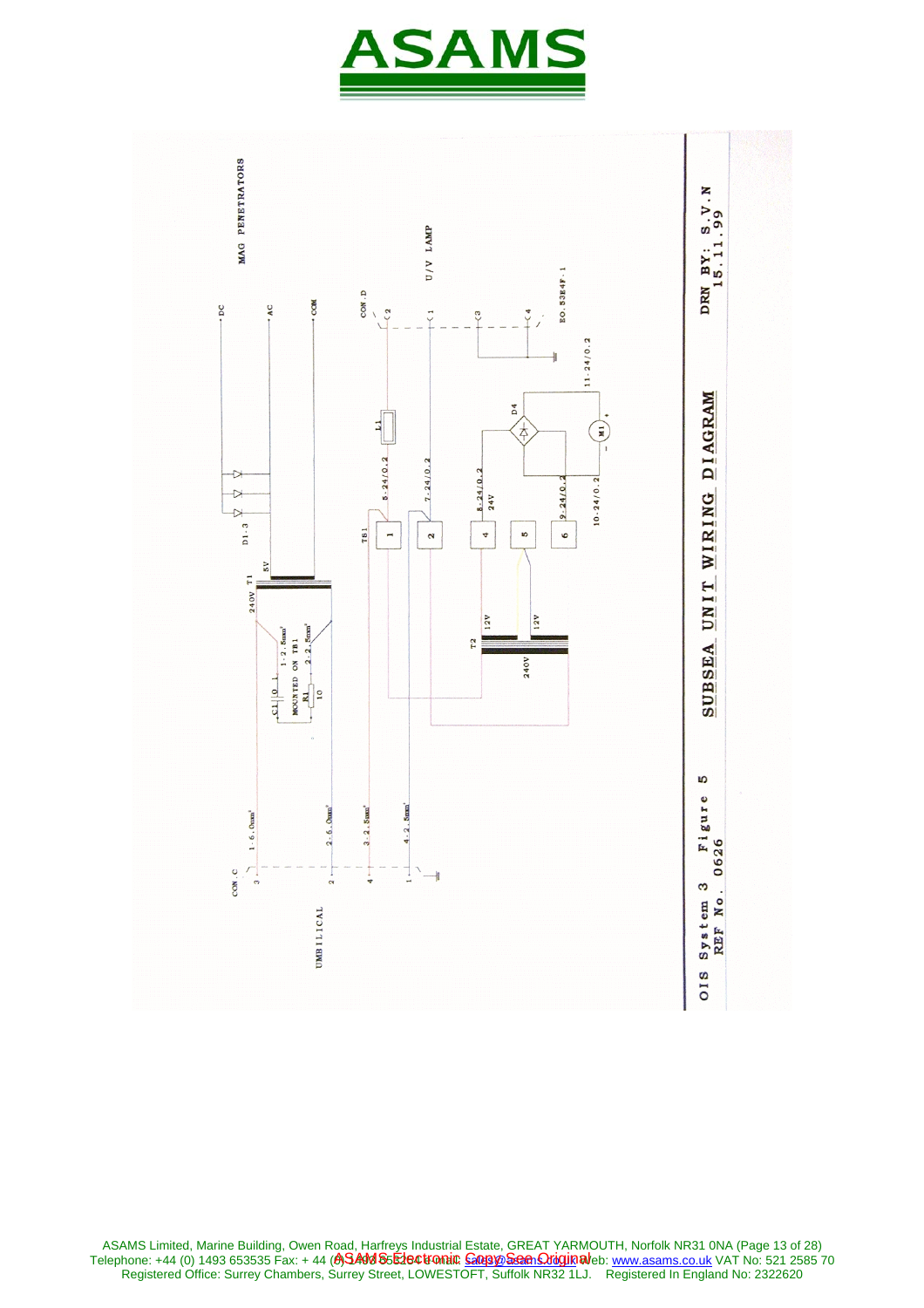



ASAMS Limited, Marine Building, Owen Road, Harfreys Industrial Estate, GREAT YARMOUTH, Norfolk NR31 0NA (Page 13 of 28) Telephone: +44 (0) 1493 653535 Fax: + 44 **(A)SAM S5E1e©tromi© <u>Goopye Seen Oriquin</u> al**eb: <u>www.asams.co.uk</u> VAT No: 521 2585 70 Registered Office: Surrey Chambers, Surrey Street, LOWESTOFT, Suffolk NR32 1LJ. Registered In England No: 2322620 ASAMS Electronic <u>Copy See Origin</u>al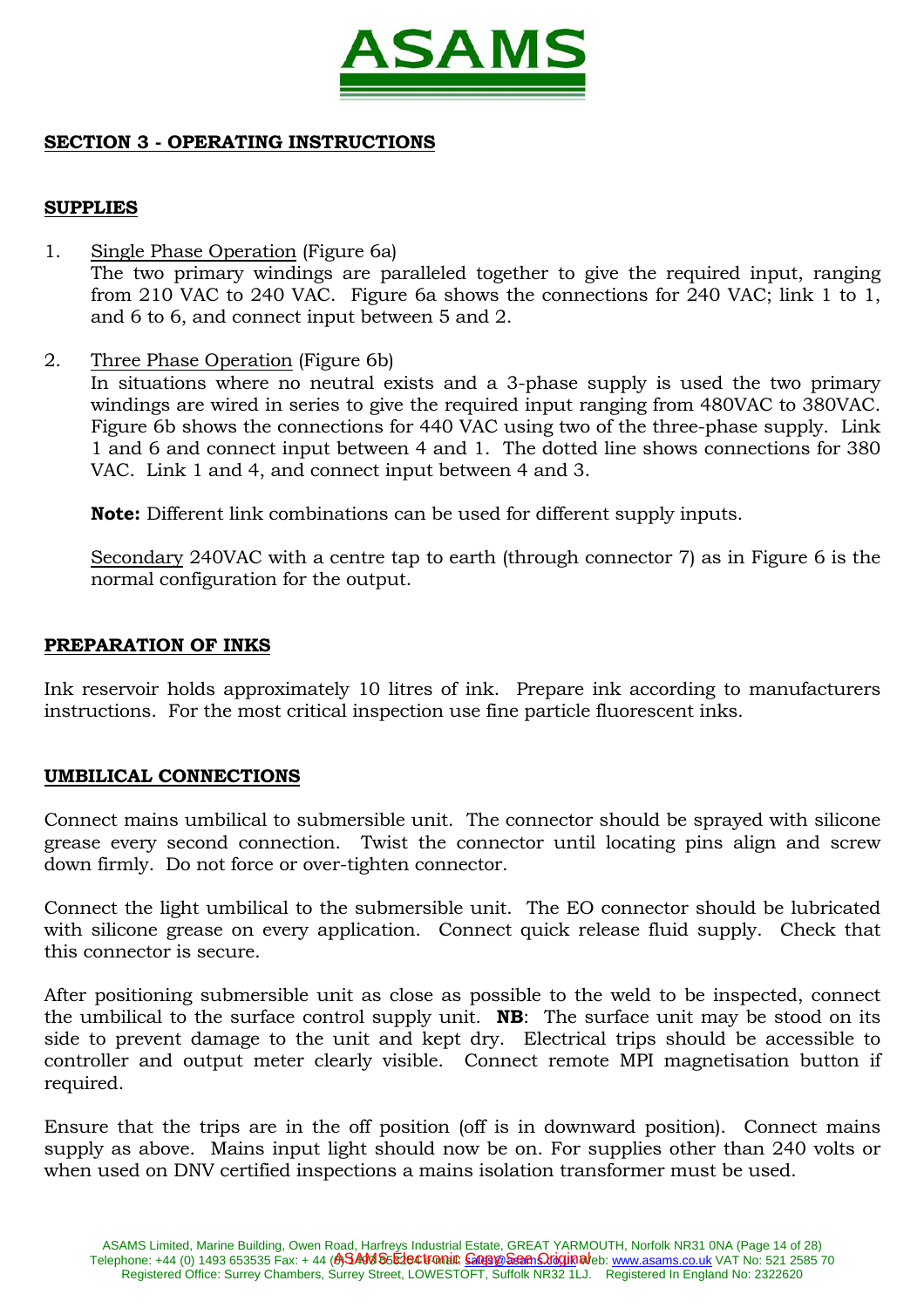

# **SECTION 3 - OPERATING INSTRUCTIONS**

## **SUPPLIES**

- 1. Single Phase Operation (Figure 6a) The two primary windings are paralleled together to give the required input, ranging from 210 VAC to 240 VAC. Figure 6a shows the connections for 240 VAC; link 1 to 1, and 6 to 6, and connect input between 5 and 2.
- 2. Three Phase Operation (Figure 6b)

 In situations where no neutral exists and a 3-phase supply is used the two primary windings are wired in series to give the required input ranging from 480VAC to 380VAC. Figure 6b shows the connections for 440 VAC using two of the three-phase supply. Link 1 and 6 and connect input between 4 and 1. The dotted line shows connections for 380 VAC. Link 1 and 4, and connect input between 4 and 3.

 **Note:** Different link combinations can be used for different supply inputs.

 Secondary 240VAC with a centre tap to earth (through connector 7) as in Figure 6 is the normal configuration for the output.

#### **PREPARATION OF INKS**

Ink reservoir holds approximately 10 litres of ink. Prepare ink according to manufacturers instructions. For the most critical inspection use fine particle fluorescent inks.

## **UMBILICAL CONNECTIONS**

Connect mains umbilical to submersible unit. The connector should be sprayed with silicone grease every second connection. Twist the connector until locating pins align and screw down firmly. Do not force or over-tighten connector.

Connect the light umbilical to the submersible unit. The EO connector should be lubricated with silicone grease on every application. Connect quick release fluid supply. Check that this connector is secure.

After positioning submersible unit as close as possible to the weld to be inspected, connect the umbilical to the surface control supply unit. **NB**: The surface unit may be stood on its side to prevent damage to the unit and kept dry. Electrical trips should be accessible to controller and output meter clearly visible. Connect remote MPI magnetisation button if required.

Ensure that the trips are in the off position (off is in downward position). Connect mains supply as above. Mains input light should now be on. For supplies other than 240 volts or when used on DNV certified inspections a mains isolation transformer must be used.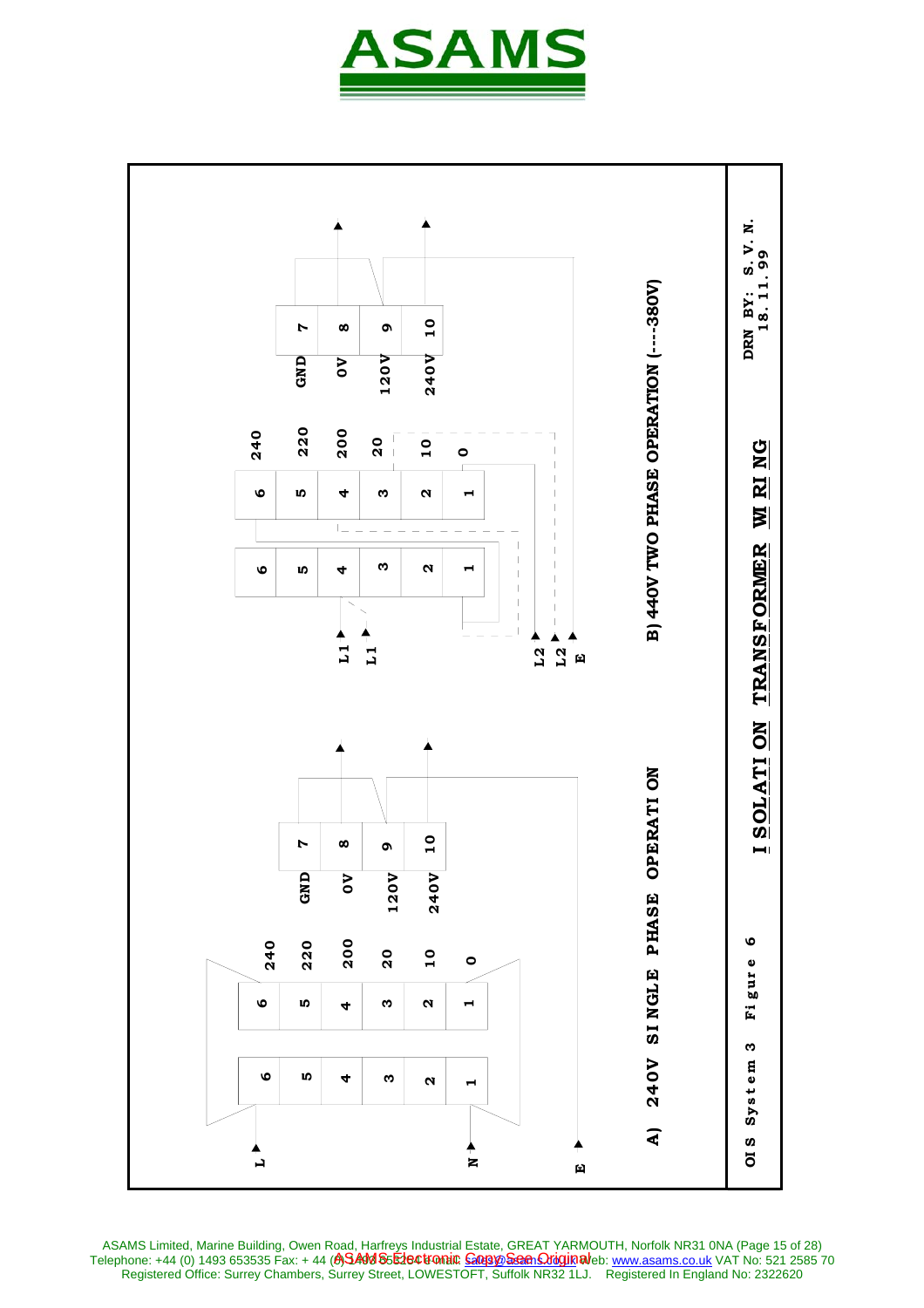



ASAMS Limited, Marine Building, Owen Road, Harfreys Industrial Estate, GREAT YARMOUTH, Norfolk NR31 0NA (Page 15 of 28) Telephone: +44 (0) 1493 653535 Fax: + 44 **(A)SAM S5E1e©tromi© <u>Goopye Seen Oriquin</u> al**eb: <u>www.asams.co.uk</u> VAT No: 521 2585 70 Registered Office: Surrey Chambers, Surrey Street, LOWESTOFT, Suffolk NR32 1LJ. Registered In England No: 2322620 ASAMS Electronic <u>Copy See Origin</u>al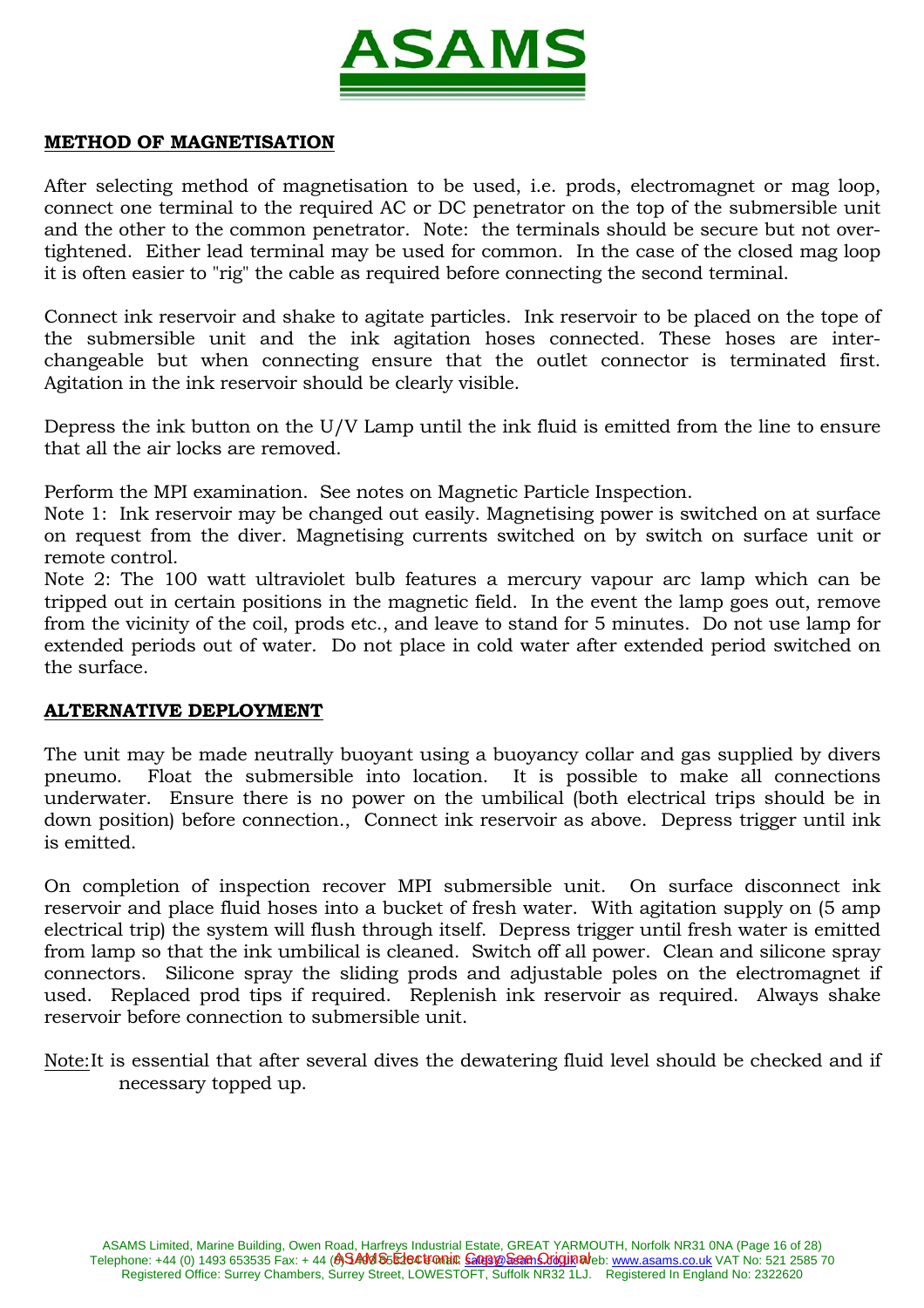

## **METHOD OF MAGNETISATION**

After selecting method of magnetisation to be used, i.e. prods, electromagnet or mag loop, connect one terminal to the required AC or DC penetrator on the top of the submersible unit and the other to the common penetrator. Note: the terminals should be secure but not overtightened. Either lead terminal may be used for common. In the case of the closed mag loop it is often easier to "rig" the cable as required before connecting the second terminal.

Connect ink reservoir and shake to agitate particles. Ink reservoir to be placed on the tope of the submersible unit and the ink agitation hoses connected. These hoses are interchangeable but when connecting ensure that the outlet connector is terminated first. Agitation in the ink reservoir should be clearly visible.

Depress the ink button on the U/V Lamp until the ink fluid is emitted from the line to ensure that all the air locks are removed.

Perform the MPI examination. See notes on Magnetic Particle Inspection.

Note 1: Ink reservoir may be changed out easily. Magnetising power is switched on at surface on request from the diver. Magnetising currents switched on by switch on surface unit or remote control.

Note 2: The 100 watt ultraviolet bulb features a mercury vapour arc lamp which can be tripped out in certain positions in the magnetic field. In the event the lamp goes out, remove from the vicinity of the coil, prods etc., and leave to stand for 5 minutes. Do not use lamp for extended periods out of water. Do not place in cold water after extended period switched on the surface.

#### **ALTERNATIVE DEPLOYMENT**

The unit may be made neutrally buoyant using a buoyancy collar and gas supplied by divers pneumo. Float the submersible into location. It is possible to make all connections underwater. Ensure there is no power on the umbilical (both electrical trips should be in down position) before connection., Connect ink reservoir as above. Depress trigger until ink is emitted.

On completion of inspection recover MPI submersible unit. On surface disconnect ink reservoir and place fluid hoses into a bucket of fresh water. With agitation supply on (5 amp electrical trip) the system will flush through itself. Depress trigger until fresh water is emitted from lamp so that the ink umbilical is cleaned. Switch off all power. Clean and silicone spray connectors. Silicone spray the sliding prods and adjustable poles on the electromagnet if used. Replaced prod tips if required. Replenish ink reservoir as required. Always shake reservoir before connection to submersible unit.

Note:It is essential that after several dives the dewatering fluid level should be checked and if necessary topped up.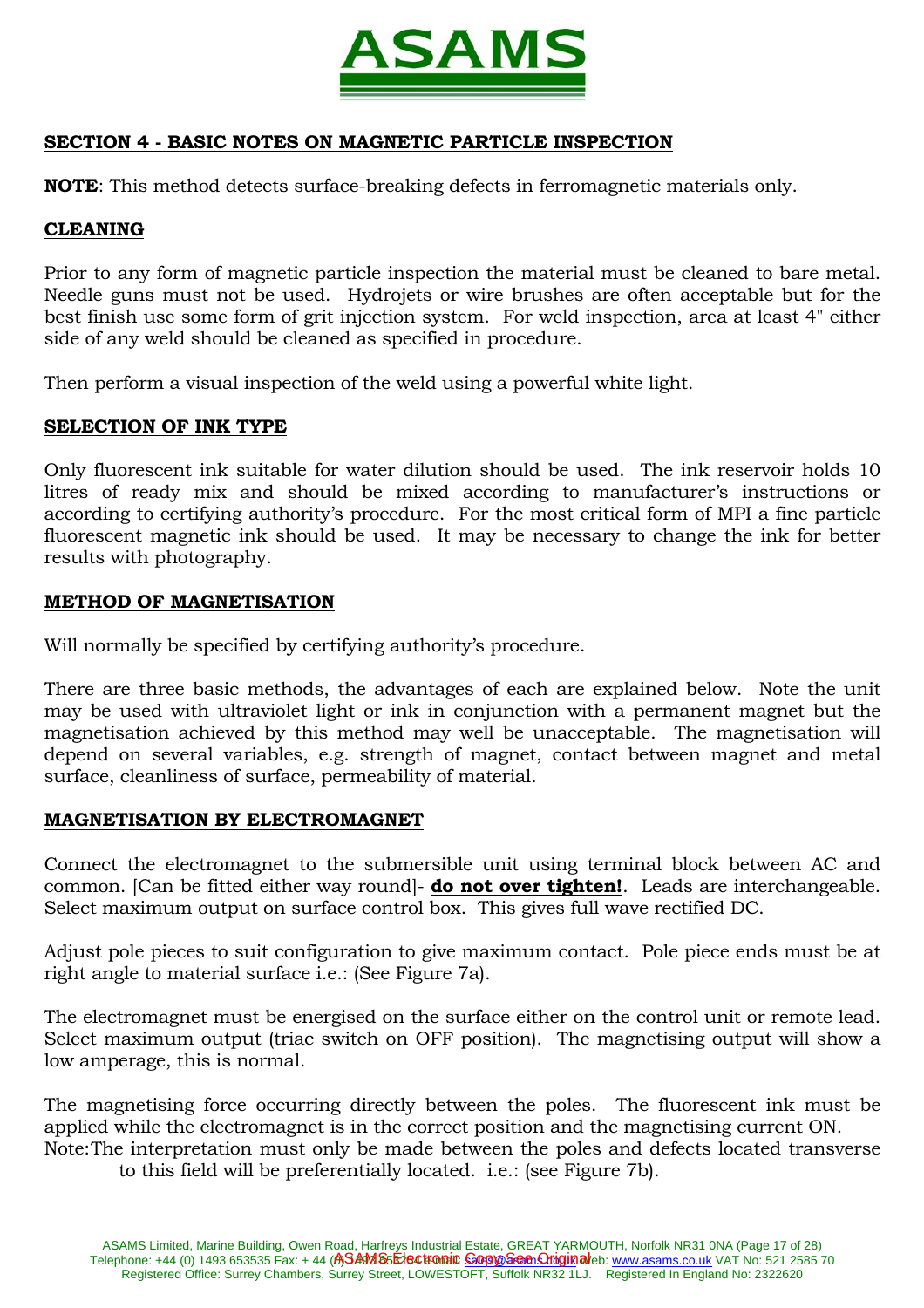

# **SECTION 4 - BASIC NOTES ON MAGNETIC PARTICLE INSPECTION**

**NOTE**: This method detects surface-breaking defects in ferromagnetic materials only.

#### **CLEANING**

Prior to any form of magnetic particle inspection the material must be cleaned to bare metal. Needle guns must not be used. Hydrojets or wire brushes are often acceptable but for the best finish use some form of grit injection system. For weld inspection, area at least 4" either side of any weld should be cleaned as specified in procedure.

Then perform a visual inspection of the weld using a powerful white light.

#### **SELECTION OF INK TYPE**

Only fluorescent ink suitable for water dilution should be used. The ink reservoir holds 10 litres of ready mix and should be mixed according to manufacturer's instructions or according to certifying authority's procedure. For the most critical form of MPI a fine particle fluorescent magnetic ink should be used. It may be necessary to change the ink for better results with photography.

#### **METHOD OF MAGNETISATION**

Will normally be specified by certifying authority's procedure.

There are three basic methods, the advantages of each are explained below. Note the unit may be used with ultraviolet light or ink in conjunction with a permanent magnet but the magnetisation achieved by this method may well be unacceptable. The magnetisation will depend on several variables, e.g. strength of magnet, contact between magnet and metal surface, cleanliness of surface, permeability of material.

#### **MAGNETISATION BY ELECTROMAGNET**

Connect the electromagnet to the submersible unit using terminal block between AC and common. [Can be fitted either way round]- **do not over tighten!**. Leads are interchangeable. Select maximum output on surface control box. This gives full wave rectified DC.

Adjust pole pieces to suit configuration to give maximum contact. Pole piece ends must be at right angle to material surface i.e.: (See Figure 7a).

The electromagnet must be energised on the surface either on the control unit or remote lead. Select maximum output (triac switch on OFF position). The magnetising output will show a low amperage, this is normal.

The magnetising force occurring directly between the poles. The fluorescent ink must be applied while the electromagnet is in the correct position and the magnetising current ON. Note: The interpretation must only be made between the poles and defects located transverse

to this field will be preferentially located. i.e.: (see Figure 7b).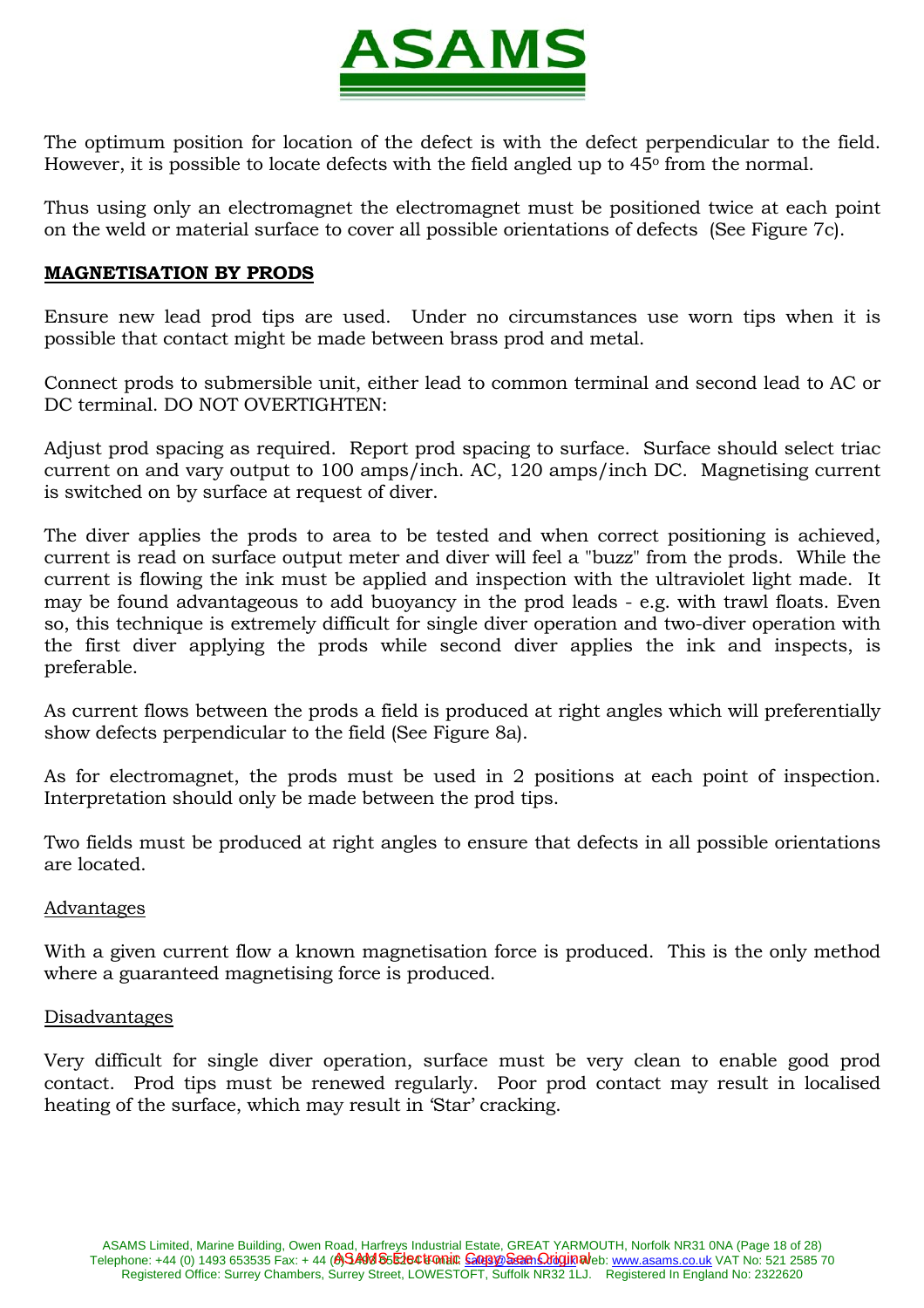

The optimum position for location of the defect is with the defect perpendicular to the field. However, it is possible to locate defects with the field angled up to  $45^{\circ}$  from the normal.

Thus using only an electromagnet the electromagnet must be positioned twice at each point on the weld or material surface to cover all possible orientations of defects (See Figure 7c).

### **MAGNETISATION BY PRODS**

Ensure new lead prod tips are used. Under no circumstances use worn tips when it is possible that contact might be made between brass prod and metal.

Connect prods to submersible unit, either lead to common terminal and second lead to AC or DC terminal. DO NOT OVERTIGHTEN:

Adjust prod spacing as required. Report prod spacing to surface. Surface should select triac current on and vary output to 100 amps/inch. AC, 120 amps/inch DC. Magnetising current is switched on by surface at request of diver.

The diver applies the prods to area to be tested and when correct positioning is achieved, current is read on surface output meter and diver will feel a "buzz" from the prods. While the current is flowing the ink must be applied and inspection with the ultraviolet light made. It may be found advantageous to add buoyancy in the prod leads - e.g. with trawl floats. Even so, this technique is extremely difficult for single diver operation and two-diver operation with the first diver applying the prods while second diver applies the ink and inspects, is preferable.

As current flows between the prods a field is produced at right angles which will preferentially show defects perpendicular to the field (See Figure 8a).

As for electromagnet, the prods must be used in 2 positions at each point of inspection. Interpretation should only be made between the prod tips.

Two fields must be produced at right angles to ensure that defects in all possible orientations are located.

#### Advantages

With a given current flow a known magnetisation force is produced. This is the only method where a guaranteed magnetising force is produced.

#### Disadvantages

Very difficult for single diver operation, surface must be very clean to enable good prod contact. Prod tips must be renewed regularly. Poor prod contact may result in localised heating of the surface, which may result in 'Star' cracking.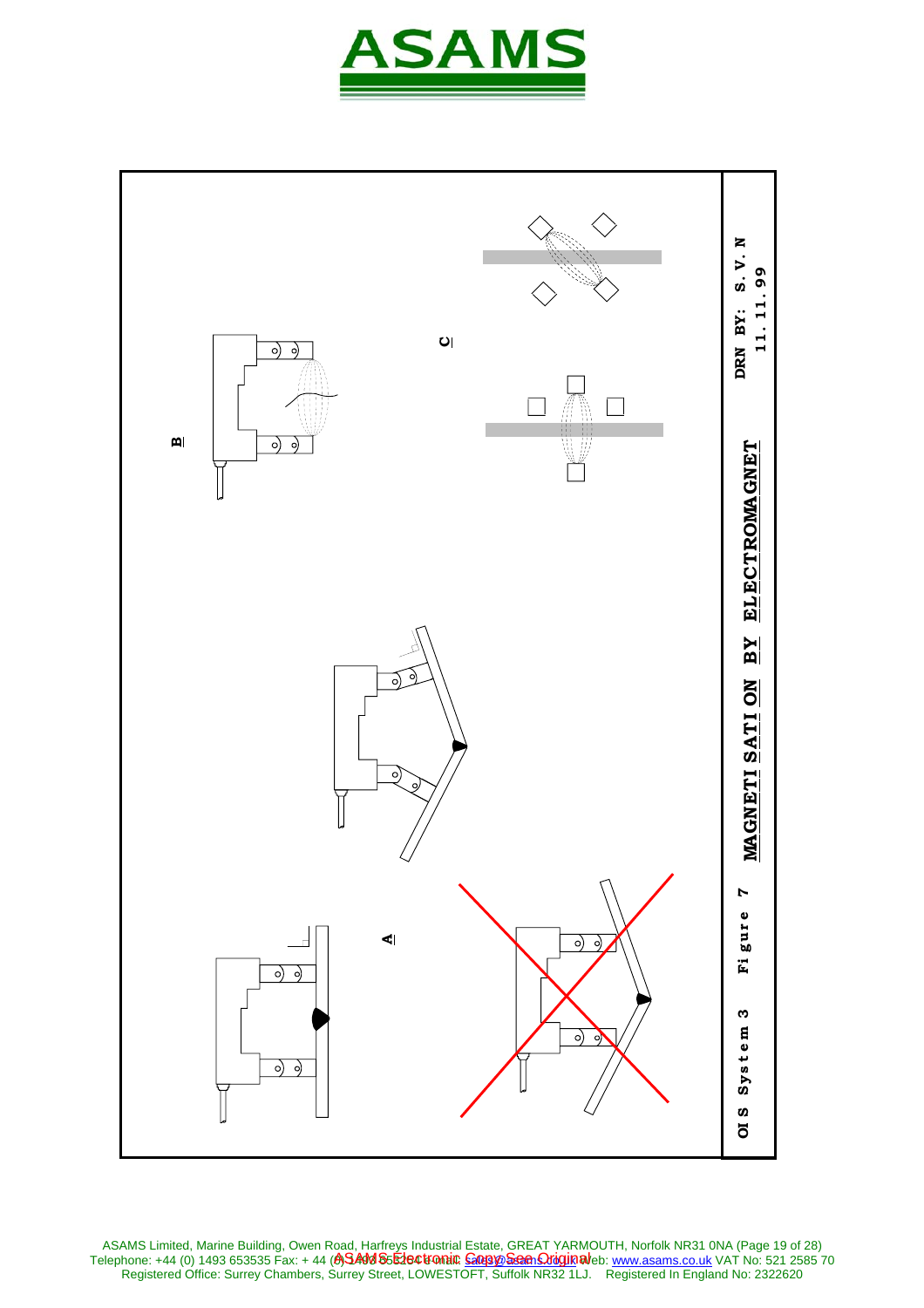



ASAMS Limited, Marine Building, Owen Road, Harfreys Industrial Estate, GREAT YARMOUTH, Norfolk NR31 0NA (Page 19 of 28) Telephone: +44 (0) 1493 653535 Fax: + 44 **(A)SAM S5E1e©tromi© <u>Goopye Seen Oriquin</u> al**eb: <u>www.asams.co.uk</u> VAT No: 521 2585 70 Registered Office: Surrey Chambers, Surrey Street, LOWESTOFT, Suffolk NR32 1LJ. Registered In England No: 2322620 ASAMS Electronic <u>Copy See Origin</u>al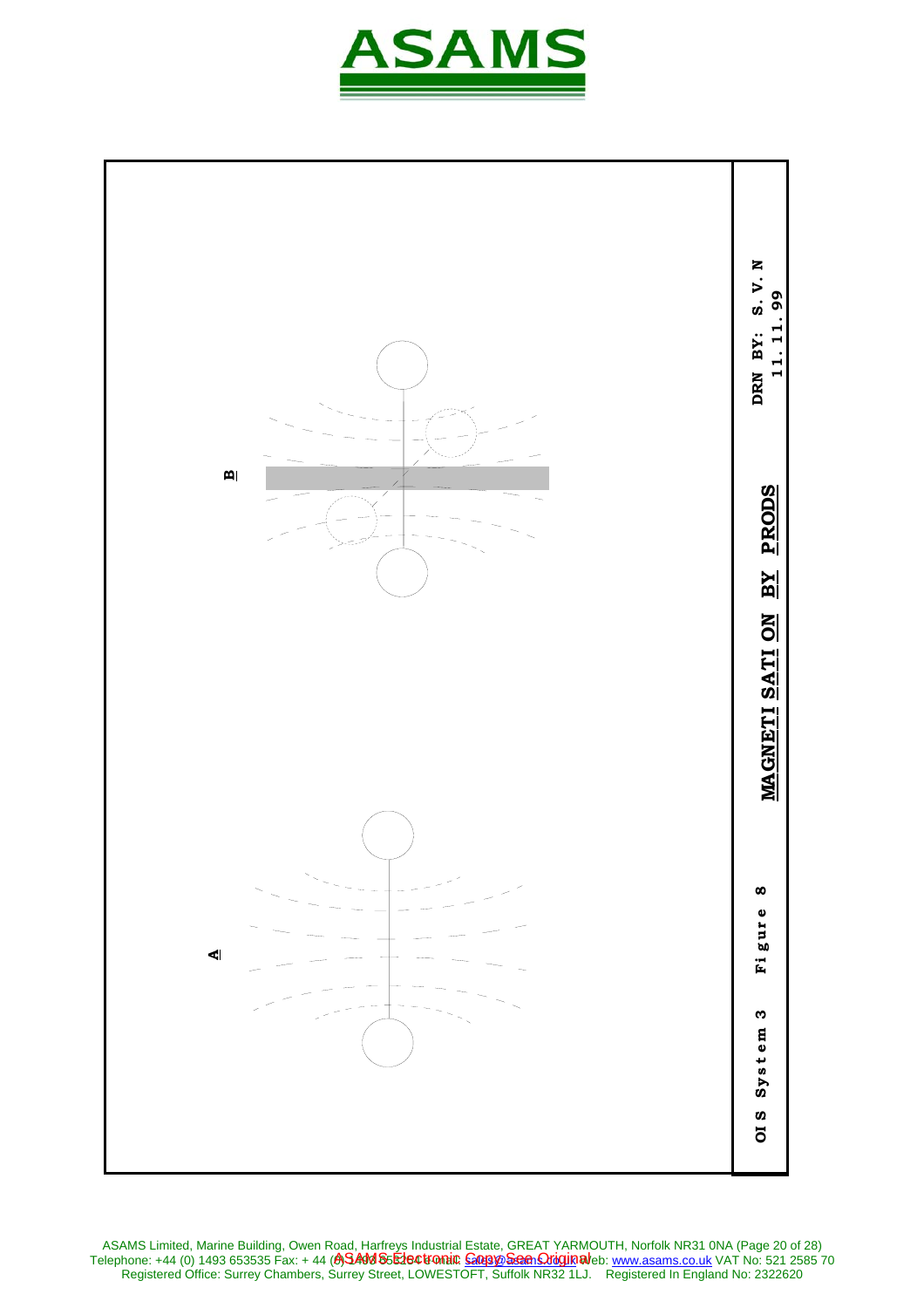



ASAMS Limited, Marine Building, Owen Road, Harfreys Industrial Estate, GREAT YARMOUTH, Norfolk NR31 0NA (Page 20 of 28) Telephone: +44 (0) 1493 653535 Fax: + 44 **(A)SAM S5E1e©tromi© <u>Goopye Seen Oriquin</u> al**eb: <u>www.asams.co.uk</u> VAT No: 521 2585 70 Registered Office: Surrey Chambers, Surrey Street, LOWESTOFT, Suffolk NR32 1LJ. Registered In England No: 2322620 ASAMS Electronic <u>Copy See Origin</u>al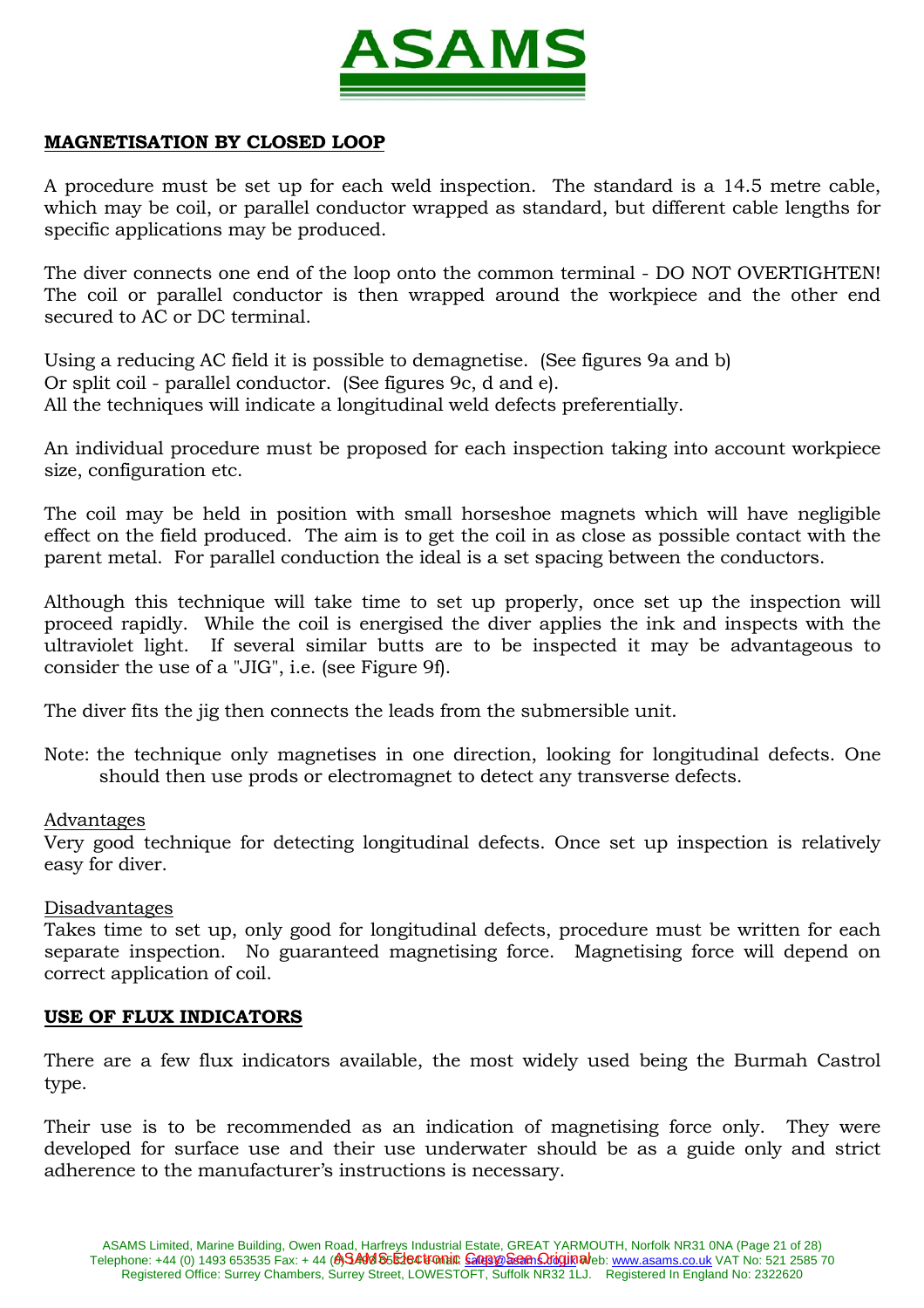

# **MAGNETISATION BY CLOSED LOOP**

A procedure must be set up for each weld inspection. The standard is a 14.5 metre cable, which may be coil, or parallel conductor wrapped as standard, but different cable lengths for specific applications may be produced.

The diver connects one end of the loop onto the common terminal - DO NOT OVERTIGHTEN! The coil or parallel conductor is then wrapped around the workpiece and the other end secured to AC or DC terminal.

Using a reducing AC field it is possible to demagnetise. (See figures 9a and b) Or split coil - parallel conductor. (See figures 9c, d and e). All the techniques will indicate a longitudinal weld defects preferentially.

An individual procedure must be proposed for each inspection taking into account workpiece size, configuration etc.

The coil may be held in position with small horseshoe magnets which will have negligible effect on the field produced. The aim is to get the coil in as close as possible contact with the parent metal. For parallel conduction the ideal is a set spacing between the conductors.

Although this technique will take time to set up properly, once set up the inspection will proceed rapidly. While the coil is energised the diver applies the ink and inspects with the ultraviolet light. If several similar butts are to be inspected it may be advantageous to consider the use of a "JIG", i.e. (see Figure 9f).

The diver fits the jig then connects the leads from the submersible unit.

Note: the technique only magnetises in one direction, looking for longitudinal defects. One should then use prods or electromagnet to detect any transverse defects.

#### Advantages

Very good technique for detecting longitudinal defects. Once set up inspection is relatively easy for diver.

#### Disadvantages

Takes time to set up, only good for longitudinal defects, procedure must be written for each separate inspection. No guaranteed magnetising force. Magnetising force will depend on correct application of coil.

## **USE OF FLUX INDICATORS**

There are a few flux indicators available, the most widely used being the Burmah Castrol type.

Their use is to be recommended as an indication of magnetising force only. They were developed for surface use and their use underwater should be as a guide only and strict adherence to the manufacturer's instructions is necessary.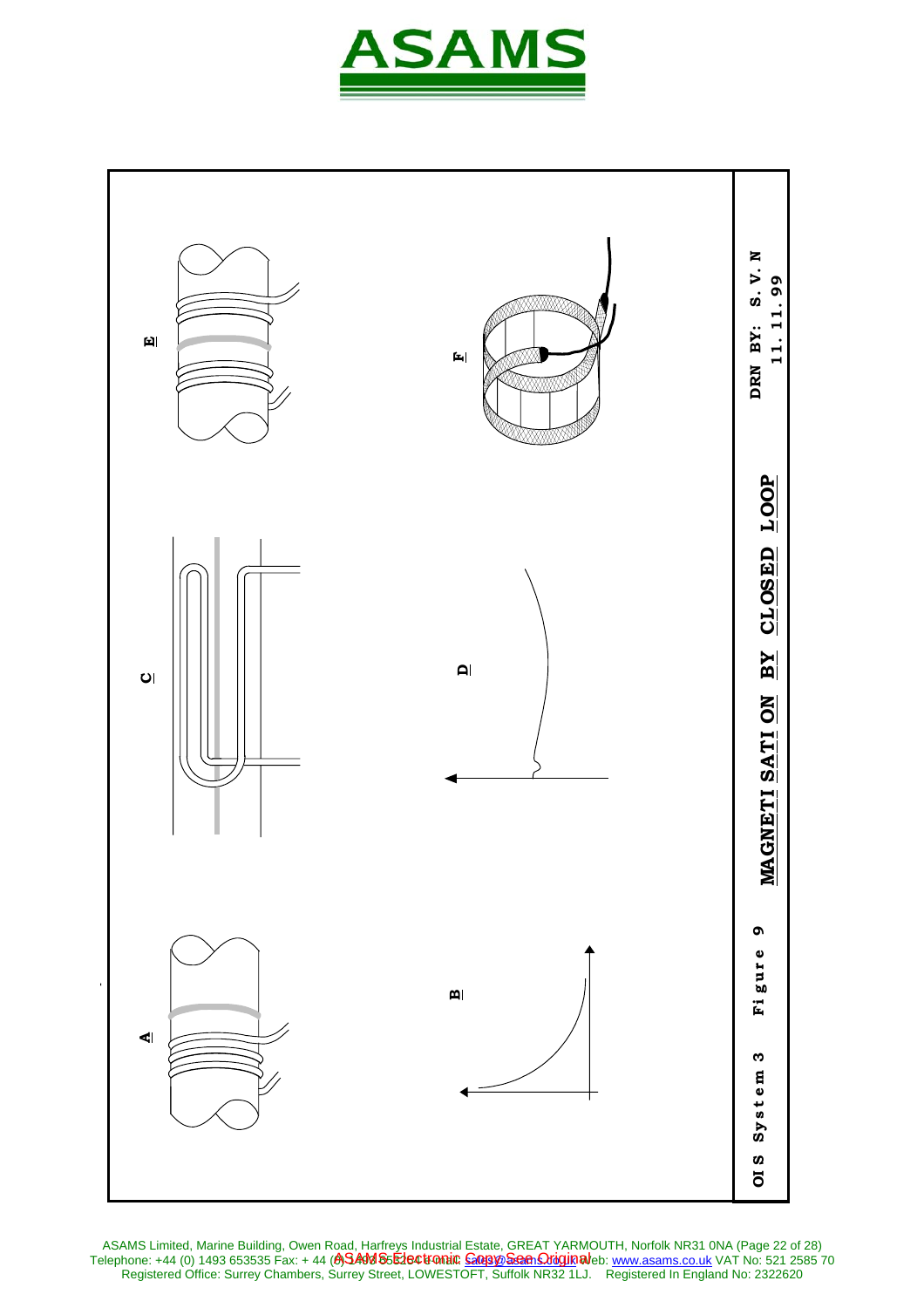



ASAMS Limited, Marine Building, Owen Road, Harfreys Industrial Estate, GREAT YARMOUTH, Norfolk NR31 0NA (Page 22 of 28) Telephone: +44 (0) 1493 653535 Fax: + 44 **(A)SAM S5E1e©tromi© <u>Goopye Seen Oriquin</u> al**eb: <u>www.asams.co.uk</u> VAT No: 521 2585 70 Registered Office: Surrey Chambers, Surrey Street, LOWESTOFT, Suffolk NR32 1LJ. Registered In England No: 2322620 ASAMS Electronic <u>Copy See Origin</u>al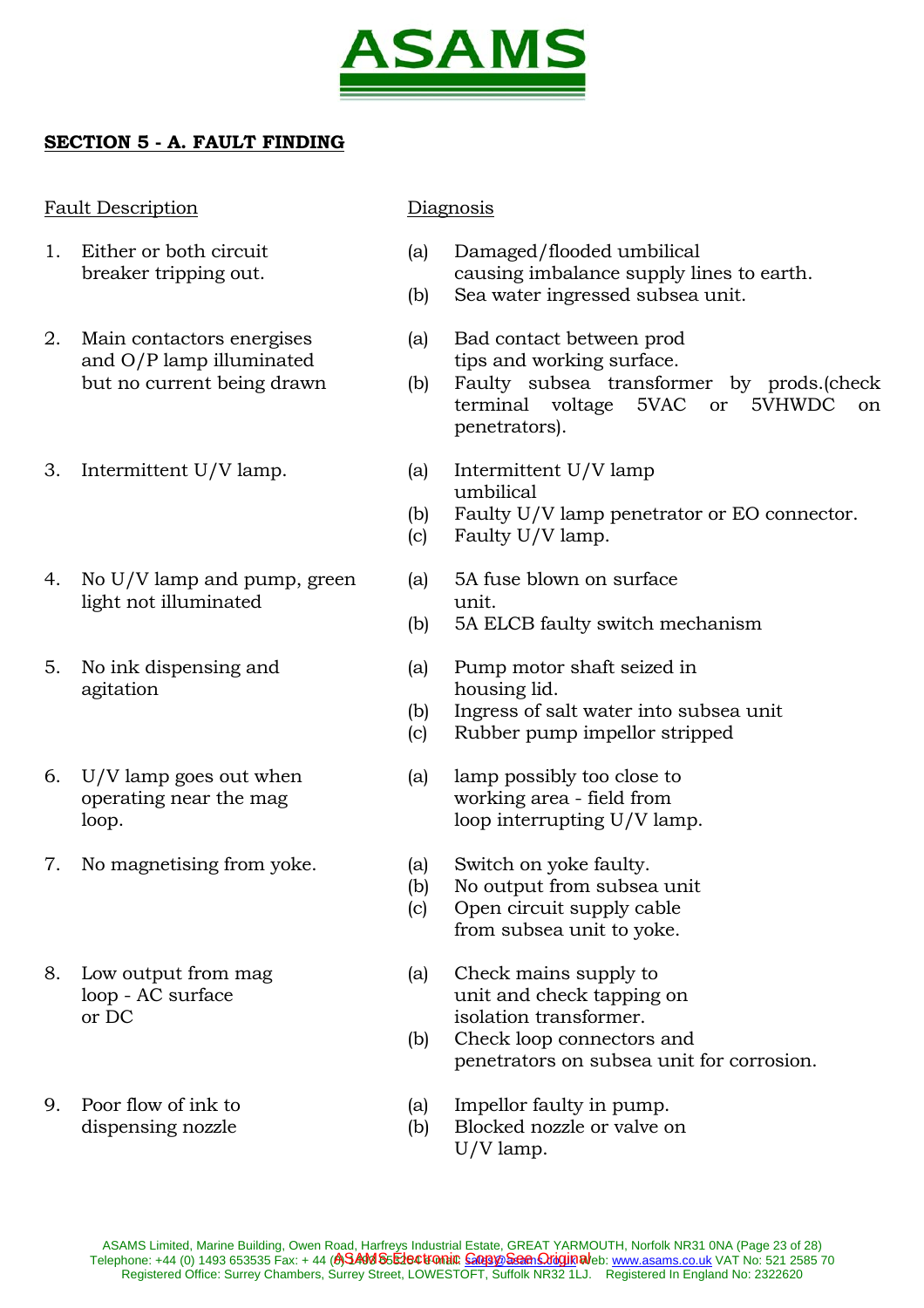

# **SECTION 5 - A. FAULT FINDING**

## Fault Description Diagnosis

- 
- 2. Main contactors energises (a) Bad contact between prod and O/P lamp illuminated tips and working surface.
- 3. Intermittent U/V lamp. (a) Intermittent U/V lamp
- 4. No U/V lamp and pump, green (a) 5A fuse blown on surface light not illuminated unit.
- agitation housing lid.
- 
- 7. No magnetising from yoke. (a) Switch on yoke faulty.
- 
- 

- 1. Either or both circuit (a) Damaged/flooded umbilical breaker tripping out. causing imbalance supply lines to earth.
	- (b) Sea water ingressed subsea unit.
	-
	- but no current being drawn (b) Faulty subsea transformer by prods.(check terminal voltage 5VAC or 5VHWDC on penetrators).
		- umbilical
		- (b) Faulty U/V lamp penetrator or EO connector.
		- (c) Faulty U/V lamp.
			-
		- (b) 5A ELCB faulty switch mechanism
- 5. No ink dispensing and (a) Pump motor shaft seized in
	- (b) Ingress of salt water into subsea unit
	- (c) Rubber pump impellor stripped
- 6. U/V lamp goes out when (a) lamp possibly too close to operating near the mag working area - field from loop. loop interrupting U/V lamp.
	-
	- (b) No output from subsea unit
	- (c) Open circuit supply cable from subsea unit to yoke.
- 8. Low output from mag (a) Check mains supply to loop - AC surface unit and check tapping on or DC isolation transformer.
	- (b) Check loop connectors and penetrators on subsea unit for corrosion.
- 9. Poor flow of ink to (a) Impellor faulty in pump.
	- dispensing nozzle (b) Blocked nozzle or valve on U/V lamp.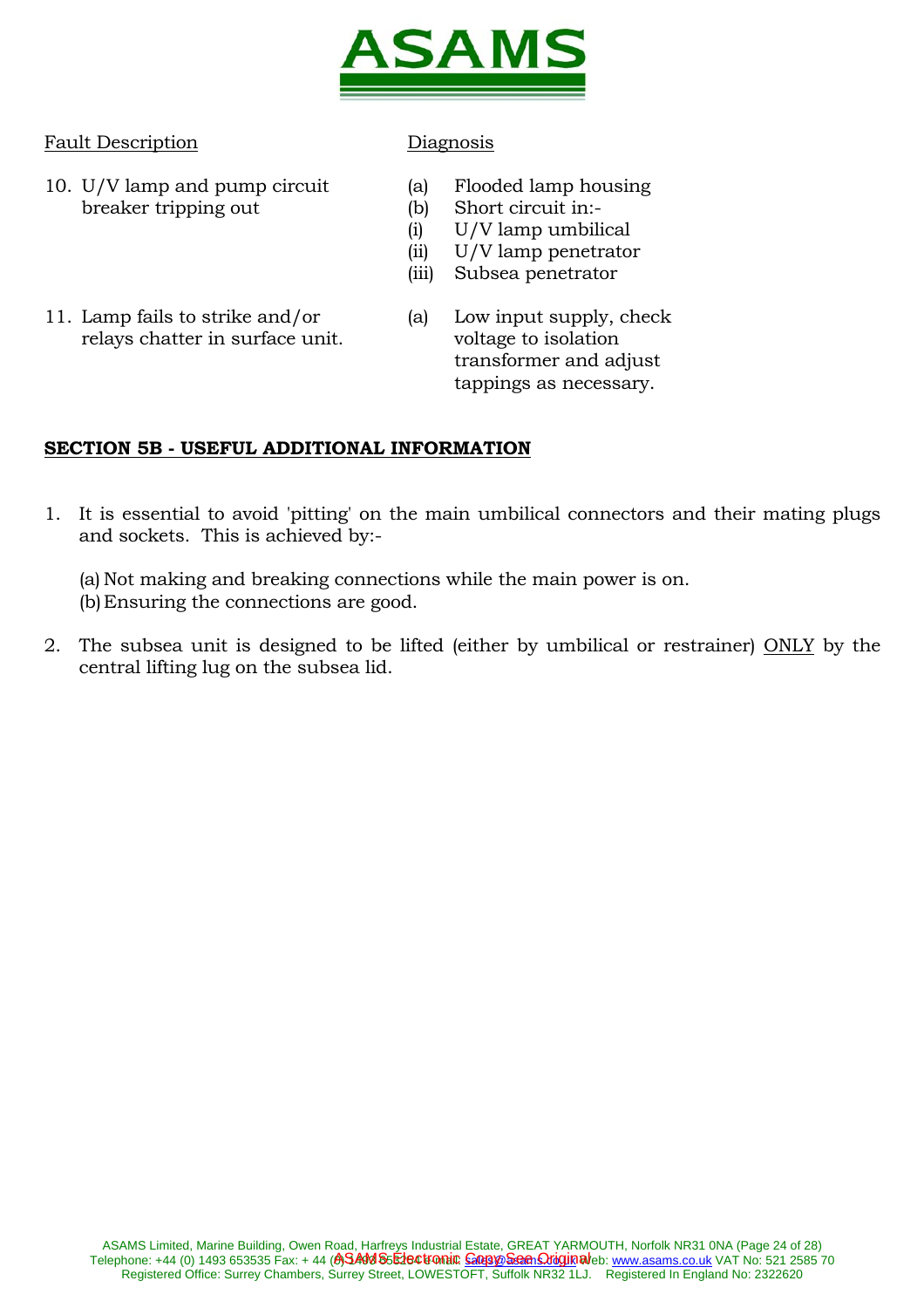

## Fault Description Diagnosis

- 10. U/V lamp and pump circuit (a) Flooded lamp housing breaker tripping out (b) Short circuit in:-
	-
	-
	- (i) U/V lamp umbilical (ii) U/V lamp penetrator
	-
	- (iii) Subsea penetrator
- 11. Lamp fails to strike and/or (a) Low input supply, check relays chatter in surface unit. voltage to isolation
- transformer and adjust tappings as necessary.

# **SECTION 5B - USEFUL ADDITIONAL INFORMATION**

1. It is essential to avoid 'pitting' on the main umbilical connectors and their mating plugs and sockets. This is achieved by:-

 (a) Not making and breaking connections while the main power is on. (b) Ensuring the connections are good.

2. The subsea unit is designed to be lifted (either by umbilical or restrainer) ONLY by the central lifting lug on the subsea lid.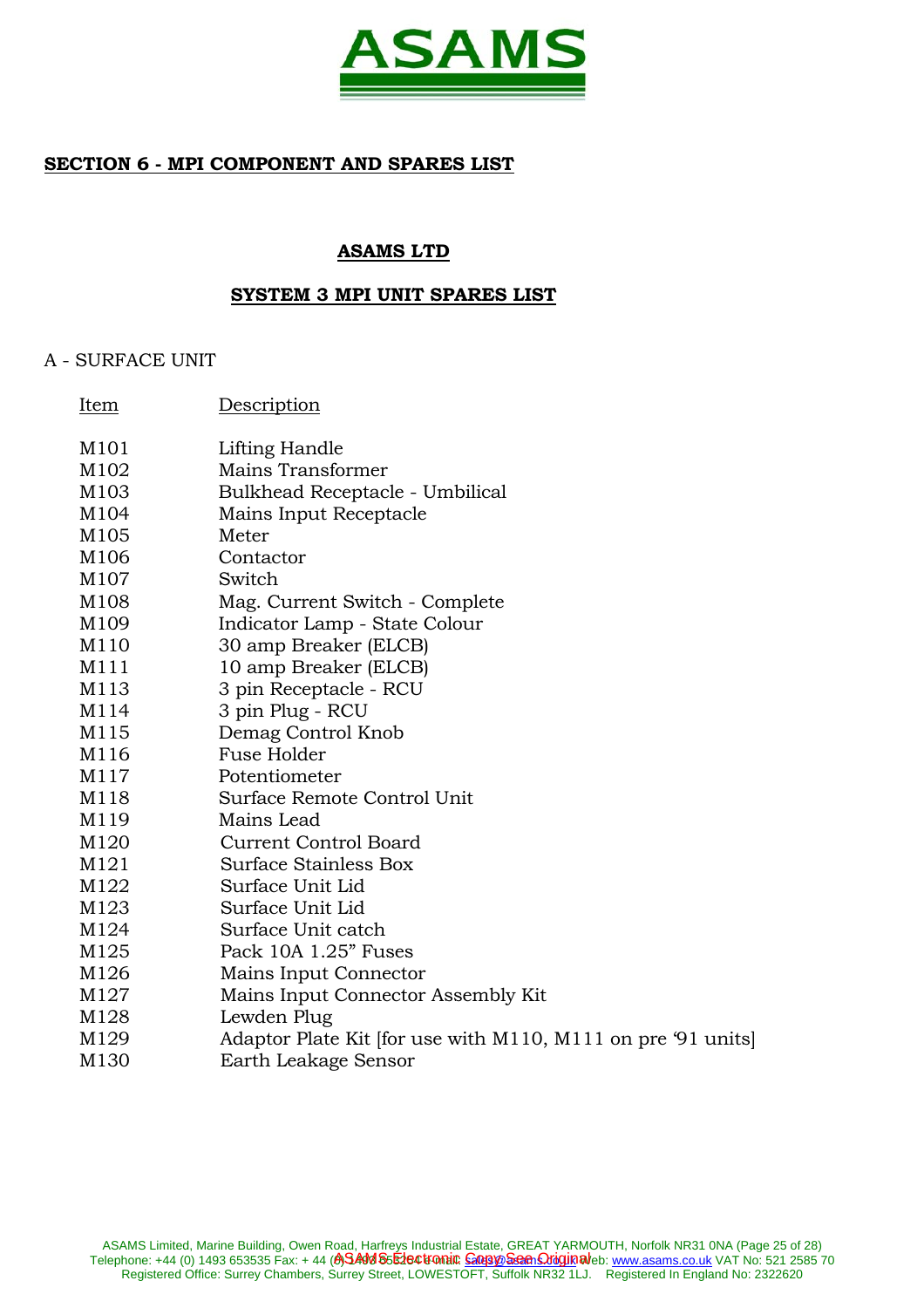

## **SECTION 6 - MPI COMPONENT AND SPARES LIST**

## **ASAMS LTD**

#### **SYSTEM 3 MPI UNIT SPARES LIST**

## A - SURFACE UNIT

| Item             | Description                                                  |
|------------------|--------------------------------------------------------------|
| M101             | Lifting Handle                                               |
| M102             | Mains Transformer                                            |
| M103             | Bulkhead Receptacle - Umbilical                              |
| M104             | Mains Input Receptacle                                       |
| M105             | Meter                                                        |
| M106             | Contactor                                                    |
| M107             | Switch                                                       |
| M108             | Mag. Current Switch - Complete                               |
| M <sub>109</sub> | Indicator Lamp - State Colour                                |
| M110             | 30 amp Breaker (ELCB)                                        |
| M111             | 10 amp Breaker (ELCB)                                        |
| M113             | 3 pin Receptacle - RCU                                       |
| M114             | 3 pin Plug - RCU                                             |
| M115             | Demag Control Knob                                           |
| M116             | <b>Fuse Holder</b>                                           |
| M117             | Potentiometer                                                |
| M118             | Surface Remote Control Unit                                  |
| M119             | Mains Lead                                                   |
| M120             | <b>Current Control Board</b>                                 |
| M121             | Surface Stainless Box                                        |
| M122             | Surface Unit Lid                                             |
| M123             | Surface Unit Lid                                             |
| M124             | Surface Unit catch                                           |
| M125             | Pack 10A 1.25" Fuses                                         |
| M126             | Mains Input Connector                                        |
| M127             | Mains Input Connector Assembly Kit                           |
| M128             | Lewden Plug                                                  |
| M129             | Adaptor Plate Kit [for use with M110, M111 on pre '91 units] |
| M <sub>130</sub> | Earth Leakage Sensor                                         |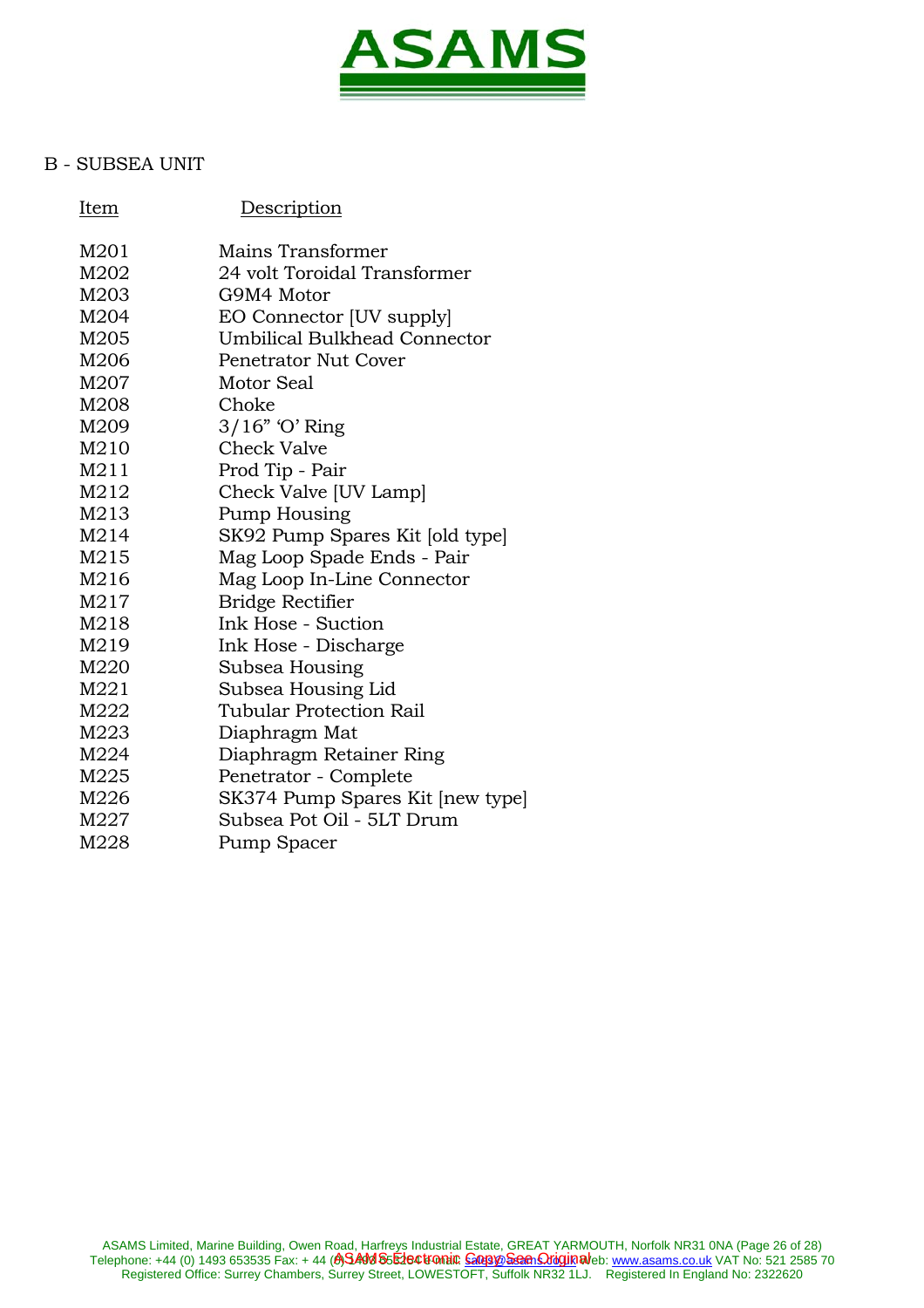

## B - SUBSEA UNIT

| Item | Description                      |
|------|----------------------------------|
| M201 | Mains Transformer                |
| M202 | 24 volt Toroidal Transformer     |
| M203 | G9M4 Motor                       |
| M204 | EO Connector [UV supply]         |
| M205 | Umbilical Bulkhead Connector     |
| M206 | <b>Penetrator Nut Cover</b>      |
| M207 | Motor Seal                       |
| M208 | Choke                            |
| M209 | $3/16$ " 'O' Ring                |
| M210 | <b>Check Valve</b>               |
| M211 | Prod Tip - Pair                  |
| M212 | Check Valve [UV Lamp]            |
| M213 | <b>Pump Housing</b>              |
| M214 | SK92 Pump Spares Kit [old type]  |
| M215 | Mag Loop Spade Ends - Pair       |
| M216 | Mag Loop In-Line Connector       |
| M217 | <b>Bridge Rectifier</b>          |
| M218 | Ink Hose - Suction               |
| M219 | Ink Hose - Discharge             |
| M220 | Subsea Housing                   |
| M221 | Subsea Housing Lid               |
| M222 | Tubular Protection Rail          |
| M223 | Diaphragm Mat                    |
| M224 | Diaphragm Retainer Ring          |
| M225 | Penetrator - Complete            |
| M226 | SK374 Pump Spares Kit [new type] |
| M227 | Subsea Pot Oil - 5LT Drum        |
| M228 | Pump Spacer                      |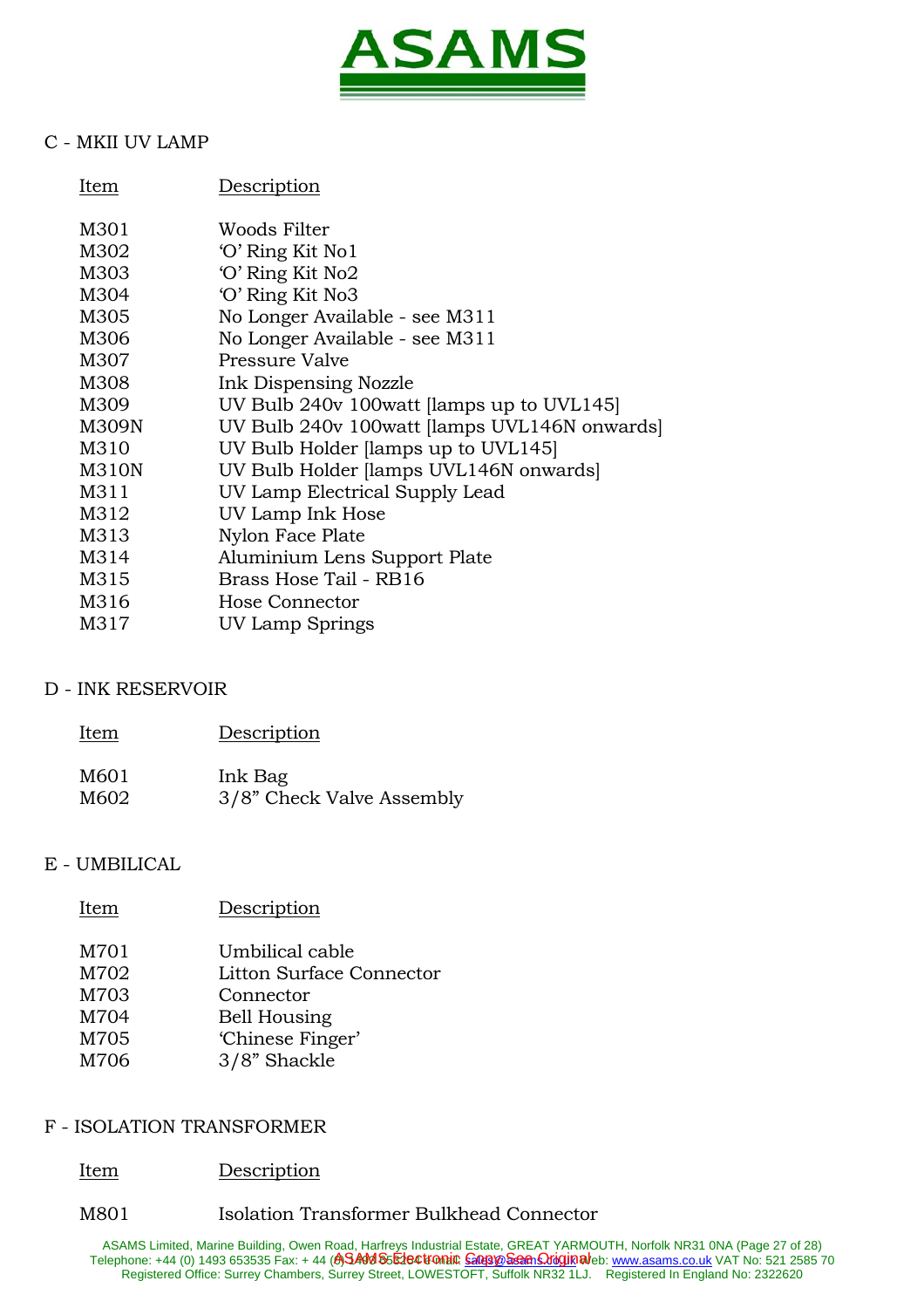

# C - MKII UV LAMP

| Description                                  |
|----------------------------------------------|
| Woods Filter                                 |
| 'O' Ring Kit No1                             |
| 'O' Ring Kit No2                             |
| 'O' Ring Kit No3                             |
| No Longer Available - see M311               |
| No Longer Available - see M311               |
| Pressure Valve                               |
| Ink Dispensing Nozzle                        |
| UV Bulb 240v 100watt [lamps up to UVL145]    |
| UV Bulb 240v 100watt [lamps UVL146N onwards] |
| UV Bulb Holder [lamps up to UVL145]          |
| UV Bulb Holder [lamps UVL146N onwards]       |
| UV Lamp Electrical Supply Lead               |
| UV Lamp Ink Hose                             |
| Nylon Face Plate                             |
| Aluminium Lens Support Plate                 |
| Brass Hose Tail - RB16                       |
| Hose Connector                               |
| UV Lamp Springs                              |
|                                              |

## D - INK RESERVOIR

| Item | Description               |
|------|---------------------------|
| M601 | Ink Bag                   |
| M602 | 3/8" Check Valve Assembly |

## E - UMBILICAL

| Item                                 | Description                                                                                         |
|--------------------------------------|-----------------------------------------------------------------------------------------------------|
| M701<br>M702<br>M703<br>M704<br>M705 | Umbilical cable<br>Litton Surface Connector<br>Connector<br><b>Bell Housing</b><br>'Chinese Finger' |
| M706                                 | 3/8" Shackle                                                                                        |

## F - ISOLATION TRANSFORMER

## Item Description

## M801 Isolation Transformer Bulkhead Connector